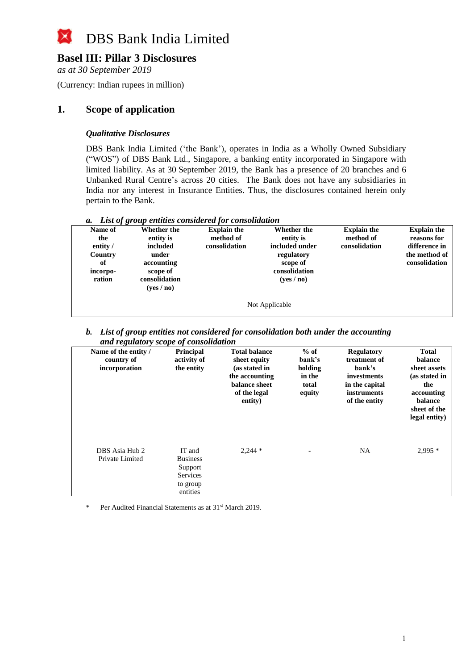

### **Basel III: Pillar 3 Disclosures**

*as at 30 September 2019*

(Currency: Indian rupees in million)

### **1. Scope of application**

### *Qualitative Disclosures*

DBS Bank India Limited ('the Bank'), operates in India as a Wholly Owned Subsidiary ("WOS") of DBS Bank Ltd., Singapore, a banking entity incorporated in Singapore with limited liability. As at 30 September 2019, the Bank has a presence of 20 branches and 6 Unbanked Rural Centre's across 20 cities. The Bank does not have any subsidiaries in India nor any interest in Insurance Entities. Thus, the disclosures contained herein only pertain to the Bank.

| a. List of group entities considered for consolidation |
|--------------------------------------------------------|
|--------------------------------------------------------|

| Name of<br>the<br>entity /<br>Country<br>of<br>incorpo-<br>ration | Whether the<br>entity is<br>included<br>under<br>accounting<br>scope of<br>consolidation<br>( <b>ves</b> / <b>no</b> ) | <b>Explain the</b><br>method of<br>consolidation | Whether the<br>entity is<br>included under<br>regulatory<br>scope of<br>consolidation<br>(yes/no) | <b>Explain the</b><br>method of<br>consolidation | <b>Explain the</b><br>reasons for<br>difference in<br>the method of<br>consolidation |  |  |
|-------------------------------------------------------------------|------------------------------------------------------------------------------------------------------------------------|--------------------------------------------------|---------------------------------------------------------------------------------------------------|--------------------------------------------------|--------------------------------------------------------------------------------------|--|--|
| Not Applicable                                                    |                                                                                                                        |                                                  |                                                                                                   |                                                  |                                                                                      |  |  |

*b. List of group entities not considered for consolidation both under the accounting and regulatory scope of consolidation*

| Name of the entity /<br>country of<br>incorporation | <b>Principal</b><br>activity of<br>the entity                                   | <b>Total balance</b><br>sheet equity<br>(as stated in<br>the accounting<br>balance sheet<br>of the legal<br>entity) | $%$ of<br>bank's<br>holding<br>in the<br>total<br>equity | <b>Regulatory</b><br>treatment of<br>bank's<br>investments<br>in the capital<br>instruments<br>of the entity | <b>Total</b><br>balance<br>sheet assets<br>(as stated in<br>the<br>accounting<br>balance<br>sheet of the<br>legal entity) |
|-----------------------------------------------------|---------------------------------------------------------------------------------|---------------------------------------------------------------------------------------------------------------------|----------------------------------------------------------|--------------------------------------------------------------------------------------------------------------|---------------------------------------------------------------------------------------------------------------------------|
| DBS Asia Hub 2<br>Private Limited                   | IT and<br><b>Business</b><br>Support<br><b>Services</b><br>to group<br>entities | $2,244*$                                                                                                            |                                                          | NA                                                                                                           | $2,995*$                                                                                                                  |

Per Audited Financial Statements as at 31<sup>st</sup> March 2019.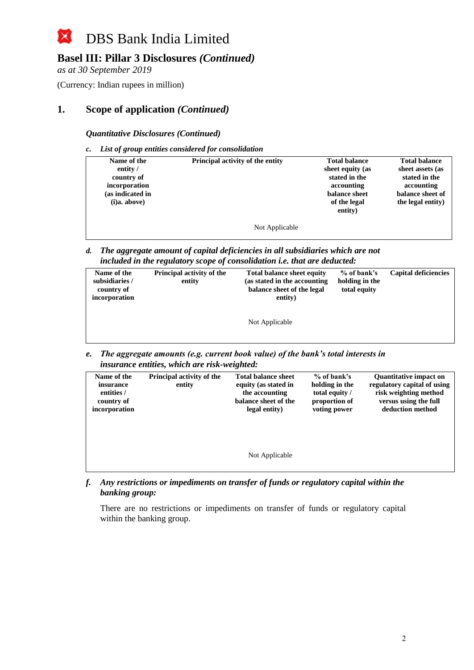## **Basel III: Pillar 3 Disclosures** *(Continued)*

*as at 30 September 2019*

(Currency: Indian rupees in million)

### **1. Scope of application** *(Continued)*

*Quantitative Disclosures (Continued)*

*c. List of group entities considered for consolidation*

| Name of the<br>entity /<br>country of<br>incorporation<br>(as indicated in<br>(i)a. above) | Principal activity of the entity | <b>Total balance</b><br>sheet equity (as<br>stated in the<br>accounting<br>balance sheet<br>of the legal<br>entity) | <b>Total balance</b><br>sheet assets (as<br>stated in the<br>accounting<br>balance sheet of<br>the legal entity) |
|--------------------------------------------------------------------------------------------|----------------------------------|---------------------------------------------------------------------------------------------------------------------|------------------------------------------------------------------------------------------------------------------|
|                                                                                            | Not Applicable                   |                                                                                                                     |                                                                                                                  |

*d. The aggregate amount of capital deficiencies in all subsidiaries which are not included in the regulatory scope of consolidation i.e. that are deducted:*

| Name of the<br>subsidiaries /<br>country of | Principal activity of the<br>entity | <b>Total balance sheet equity</b><br>(as stated in the accounting)<br>balance sheet of the legal | % of bank's<br>holding in the<br>total equity | <b>Capital deficiencies</b> |
|---------------------------------------------|-------------------------------------|--------------------------------------------------------------------------------------------------|-----------------------------------------------|-----------------------------|
| incorporation                               |                                     | entity)                                                                                          |                                               |                             |
|                                             |                                     | Not Applicable                                                                                   |                                               |                             |

*e. The aggregate amounts (e.g. current book value) of the bank's total interests in insurance entities, which are risk-weighted:*

| Name of the<br>insurance<br>entities /<br>country of<br>incorporation | Principal activity of the<br>entity | <b>Total balance sheet</b><br>equity (as stated in<br>the accounting<br>balance sheet of the<br>legal entity) | $%$ of bank's<br>holding in the<br>total equity /<br>proportion of<br>voting power | <b>Quantitative impact on</b><br>regulatory capital of using<br>risk weighting method<br>versus using the full<br>deduction method |
|-----------------------------------------------------------------------|-------------------------------------|---------------------------------------------------------------------------------------------------------------|------------------------------------------------------------------------------------|------------------------------------------------------------------------------------------------------------------------------------|
|                                                                       |                                     | Not Applicable                                                                                                |                                                                                    |                                                                                                                                    |

*f. Any restrictions or impediments on transfer of funds or regulatory capital within the banking group:*

There are no restrictions or impediments on transfer of funds or regulatory capital within the banking group.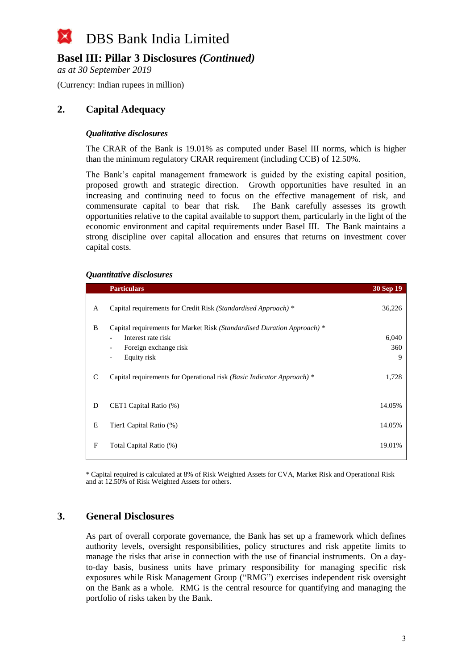### **Basel III: Pillar 3 Disclosures** *(Continued)*

*as at 30 September 2019*

(Currency: Indian rupees in million)

### **2. Capital Adequacy**

#### *Qualitative disclosures*

The CRAR of the Bank is 19.01% as computed under Basel III norms, which is higher than the minimum regulatory CRAR requirement (including CCB) of 12.50%.

The Bank's capital management framework is guided by the existing capital position, proposed growth and strategic direction. Growth opportunities have resulted in an increasing and continuing need to focus on the effective management of risk, and commensurate capital to bear that risk. The Bank carefully assesses its growth opportunities relative to the capital available to support them, particularly in the light of the economic environment and capital requirements under Basel III. The Bank maintains a strong discipline over capital allocation and ensures that returns on investment cover capital costs.

#### *Quantitative disclosures*

|               | <b>Particulars</b>                                                      | 30 Sep 19 |
|---------------|-------------------------------------------------------------------------|-----------|
| A             | Capital requirements for Credit Risk (Standardised Approach) *          | 36,226    |
| B             | Capital requirements for Market Risk (Standardised Duration Approach) * |           |
|               | Interest rate risk<br>$\overline{\phantom{a}}$                          | 6,040     |
|               | Foreign exchange risk<br>$\overline{\phantom{0}}$                       | 360       |
|               | Equity risk<br>$\overline{\phantom{0}}$                                 | 9         |
| $\mathcal{C}$ | Capital requirements for Operational risk (Basic Indicator Approach) *  | 1,728     |
| D             | CET1 Capital Ratio (%)                                                  | 14.05%    |
| E             | Tier1 Capital Ratio (%)                                                 | 14.05%    |
| F             | Total Capital Ratio (%)                                                 | 19.01%    |
|               |                                                                         |           |

\* Capital required is calculated at 8% of Risk Weighted Assets for CVA, Market Risk and Operational Risk and at 12.50% of Risk Weighted Assets for others.

### **3. General Disclosures**

As part of overall corporate governance, the Bank has set up a framework which defines authority levels, oversight responsibilities, policy structures and risk appetite limits to manage the risks that arise in connection with the use of financial instruments. On a dayto-day basis, business units have primary responsibility for managing specific risk exposures while Risk Management Group ("RMG") exercises independent risk oversight on the Bank as a whole. RMG is the central resource for quantifying and managing the portfolio of risks taken by the Bank.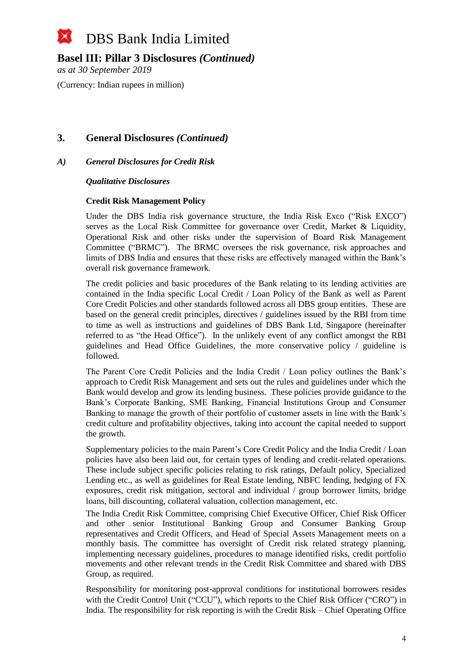### **Basel III: Pillar 3 Disclosures** *(Continued)*

*as at 30 September 2019*

(Currency: Indian rupees in million)

### **3. General Disclosures** *(Continued)*

### *A) General Disclosures for Credit Risk*

#### *Qualitative Disclosures*

#### **Credit Risk Management Policy**

Under the DBS India risk governance structure, the India Risk Exco ("Risk EXCO") serves as the Local Risk Committee for governance over Credit, Market & Liquidity, Operational Risk and other risks under the supervision of Board Risk Management Committee ("BRMC"). The BRMC oversees the risk governance, risk approaches and limits of DBS India and ensures that these risks are effectively managed within the Bank's overall risk governance framework.

The credit policies and basic procedures of the Bank relating to its lending activities are contained in the India specific Local Credit / Loan Policy of the Bank as well as Parent Core Credit Policies and other standards followed across all DBS group entities. These are based on the general credit principles, directives / guidelines issued by the RBI from time to time as well as instructions and guidelines of DBS Bank Ltd, Singapore (hereinafter referred to as "the Head Office"). In the unlikely event of any conflict amongst the RBI guidelines and Head Office Guidelines, the more conservative policy / guideline is followed.

The Parent Core Credit Policies and the India Credit / Loan policy outlines the Bank's approach to Credit Risk Management and sets out the rules and guidelines under which the Bank would develop and grow its lending business. These policies provide guidance to the Bank's Corporate Banking, SME Banking, Financial Institutions Group and Consumer Banking to manage the growth of their portfolio of customer assets in line with the Bank's credit culture and profitability objectives, taking into account the capital needed to support the growth.

Supplementary policies to the main Parent's Core Credit Policy and the India Credit / Loan policies have also been laid out, for certain types of lending and credit-related operations. These include subject specific policies relating to risk ratings, Default policy, Specialized Lending etc., as well as guidelines for Real Estate lending, NBFC lending, hedging of FX exposures, credit risk mitigation, sectoral and individual / group borrower limits, bridge loans, bill discounting, collateral valuation, collection management, etc.

The India Credit Risk Committee, comprising Chief Executive Officer, Chief Risk Officer and other senior Institutional Banking Group and Consumer Banking Group representatives and Credit Officers, and Head of Special Assets Management meets on a monthly basis. The committee has oversight of Credit risk related strategy planning, implementing necessary guidelines, procedures to manage identified risks, credit portfolio movements and other relevant trends in the Credit Risk Committee and shared with DBS Group, as required.

Responsibility for monitoring post-approval conditions for institutional borrowers resides with the Credit Control Unit ("CCU"), which reports to the Chief Risk Officer ("CRO") in India. The responsibility for risk reporting is with the Credit Risk – Chief Operating Office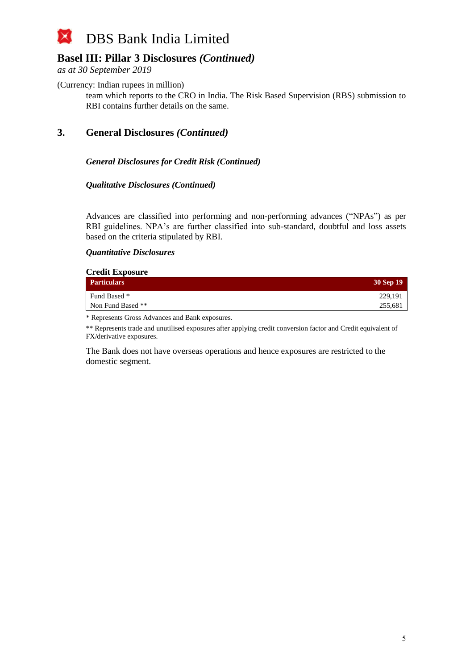### **Basel III: Pillar 3 Disclosures** *(Continued)*

*as at 30 September 2019*

(Currency: Indian rupees in million)

team which reports to the CRO in India. The Risk Based Supervision (RBS) submission to RBI contains further details on the same.

**3. General Disclosures** *(Continued)*

### *General Disclosures for Credit Risk (Continued)*

#### *Qualitative Disclosures (Continued)*

Advances are classified into performing and non-performing advances ("NPAs") as per RBI guidelines. NPA's are further classified into sub-standard, doubtful and loss assets based on the criteria stipulated by RBI.

#### *Quantitative Disclosures*

| <b>Credit Exposure</b> |           |  |  |  |
|------------------------|-----------|--|--|--|
| <b>Particulars</b>     | 30 Sep 19 |  |  |  |
| Fund Based *           | 229,191   |  |  |  |
| Non Fund Based **      | 255,681   |  |  |  |

\* Represents Gross Advances and Bank exposures.

\*\* Represents trade and unutilised exposures after applying credit conversion factor and Credit equivalent of FX/derivative exposures.

The Bank does not have overseas operations and hence exposures are restricted to the domestic segment.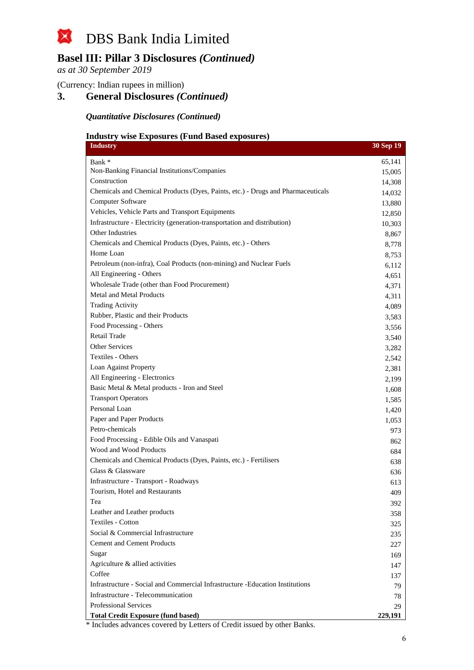

*as at 30 September 2019*

(Currency: Indian rupees in million)

### **3. General Disclosures** *(Continued)*

#### *Quantitative Disclosures (Continued)*

### **Industry wise Exposures (Fund Based exposures)**

| <b>Industry</b>                                                                                | 30 Sep 19 |
|------------------------------------------------------------------------------------------------|-----------|
| Bank *                                                                                         | 65,141    |
| Non-Banking Financial Institutions/Companies                                                   | 15,005    |
| Construction                                                                                   | 14,308    |
| Chemicals and Chemical Products (Dyes, Paints, etc.) - Drugs and Pharmaceuticals               | 14,032    |
| Computer Software                                                                              | 13,880    |
| Vehicles, Vehicle Parts and Transport Equipments                                               | 12,850    |
| Infrastructure - Electricity (generation-transportation and distribution)                      | 10,303    |
| Other Industries                                                                               | 8,867     |
| Chemicals and Chemical Products (Dyes, Paints, etc.) - Others                                  | 8,778     |
| Home Loan                                                                                      | 8,753     |
| Petroleum (non-infra), Coal Products (non-mining) and Nuclear Fuels                            | 6,112     |
| All Engineering - Others                                                                       | 4,651     |
| Wholesale Trade (other than Food Procurement)                                                  | 4,371     |
| Metal and Metal Products                                                                       | 4,311     |
| <b>Trading Activity</b>                                                                        | 4,089     |
| Rubber, Plastic and their Products                                                             | 3,583     |
| Food Processing - Others                                                                       | 3,556     |
| Retail Trade                                                                                   | 3,540     |
| <b>Other Services</b>                                                                          | 3,282     |
| Textiles - Others                                                                              | 2,542     |
| Loan Against Property                                                                          | 2,381     |
| All Engineering - Electronics                                                                  | 2,199     |
| Basic Metal & Metal products - Iron and Steel                                                  | 1,608     |
| <b>Transport Operators</b>                                                                     | 1,585     |
| Personal Loan                                                                                  | 1,420     |
| Paper and Paper Products                                                                       | 1,053     |
| Petro-chemicals                                                                                | 973       |
| Food Processing - Edible Oils and Vanaspati                                                    | 862       |
| Wood and Wood Products                                                                         | 684       |
| Chemicals and Chemical Products (Dyes, Paints, etc.) - Fertilisers                             | 638       |
| Glass & Glassware                                                                              | 636       |
| Infrastructure - Transport - Roadways                                                          | 613       |
| Tourism, Hotel and Restaurants                                                                 | 409       |
| Tea                                                                                            | 392       |
| Leather and Leather products                                                                   | 358       |
| <b>Textiles - Cotton</b>                                                                       | 325       |
| Social & Commercial Infrastructure                                                             | 235       |
| <b>Cement and Cement Products</b>                                                              | 227       |
| Sugar                                                                                          | 169       |
| Agriculture & allied activities                                                                | 147       |
| Coffee                                                                                         | 137       |
| Infrastructure - Social and Commercial Infrastructure -Education Institutions                  | 79        |
| Infrastructure - Telecommunication                                                             | 78        |
| <b>Professional Services</b>                                                                   | 29        |
| <b>Total Credit Exposure (fund based)</b><br>overed by Latters of Credit issued by other Deply | 229,191   |

\* Includes advances covered by Letters of Credit issued by other Banks.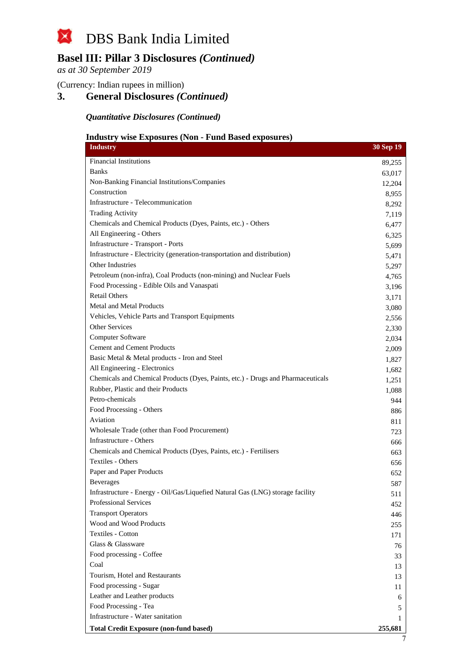

*as at 30 September 2019*

(Currency: Indian rupees in million)

### **3. General Disclosures** *(Continued)*

*Quantitative Disclosures (Continued)*

### **Industry wise Exposures (Non - Fund Based exposures)**

| muusti y<br>$\bf{W}$<br>osur Cs<br>VШ<br>T and Dasca Cy<br>UU ULL CO<br><b>Industry</b> | 30 Sep 19      |
|-----------------------------------------------------------------------------------------|----------------|
| <b>Financial Institutions</b>                                                           | 89,255         |
| <b>Banks</b>                                                                            | 63,017         |
| Non-Banking Financial Institutions/Companies                                            | 12,204         |
| Construction                                                                            | 8,955          |
| Infrastructure - Telecommunication                                                      | 8,292          |
| <b>Trading Activity</b>                                                                 | 7,119          |
| Chemicals and Chemical Products (Dyes, Paints, etc.) - Others                           | 6,477          |
| All Engineering - Others                                                                | 6,325          |
| Infrastructure - Transport - Ports                                                      | 5,699          |
| Infrastructure - Electricity (generation-transportation and distribution)               | 5,471          |
| <b>Other Industries</b>                                                                 | 5,297          |
| Petroleum (non-infra), Coal Products (non-mining) and Nuclear Fuels                     | 4,765          |
| Food Processing - Edible Oils and Vanaspati<br><b>Retail Others</b>                     | 3,196          |
|                                                                                         | 3,171          |
| <b>Metal and Metal Products</b>                                                         | 3,080          |
| Vehicles, Vehicle Parts and Transport Equipments<br><b>Other Services</b>               | 2,556          |
| Computer Software                                                                       | 2,330          |
| <b>Cement and Cement Products</b>                                                       | 2,034          |
| Basic Metal & Metal products - Iron and Steel                                           | 2,009          |
| All Engineering - Electronics                                                           | 1,827<br>1,682 |
| Chemicals and Chemical Products (Dyes, Paints, etc.) - Drugs and Pharmaceuticals        | 1,251          |
| Rubber, Plastic and their Products                                                      | 1,088          |
| Petro-chemicals                                                                         | 944            |
| Food Processing - Others                                                                | 886            |
| Aviation                                                                                | 811            |
| Wholesale Trade (other than Food Procurement)                                           | 723            |
| Infrastructure - Others                                                                 | 666            |
| Chemicals and Chemical Products (Dyes, Paints, etc.) - Fertilisers                      | 663            |
| <b>Textiles - Others</b>                                                                | 656            |
| Paper and Paper Products                                                                | 652            |
| <b>Beverages</b>                                                                        | 587            |
| Infrastructure - Energy - Oil/Gas/Liquefied Natural Gas (LNG) storage facility          | 511            |
| Professional Services                                                                   | 452            |
| <b>Transport Operators</b>                                                              | 446            |
| Wood and Wood Products                                                                  | 255            |
| Textiles - Cotton                                                                       | 171            |
| Glass & Glassware                                                                       | 76             |
| Food processing - Coffee                                                                | 33             |
| Coal                                                                                    | 13             |
| Tourism, Hotel and Restaurants                                                          | 13             |
| Food processing - Sugar                                                                 | 11             |
| Leather and Leather products                                                            | 6              |
| Food Processing - Tea                                                                   | 5              |
| Infrastructure - Water sanitation                                                       | L              |
| <b>Total Credit Exposure (non-fund based)</b>                                           | 255,681        |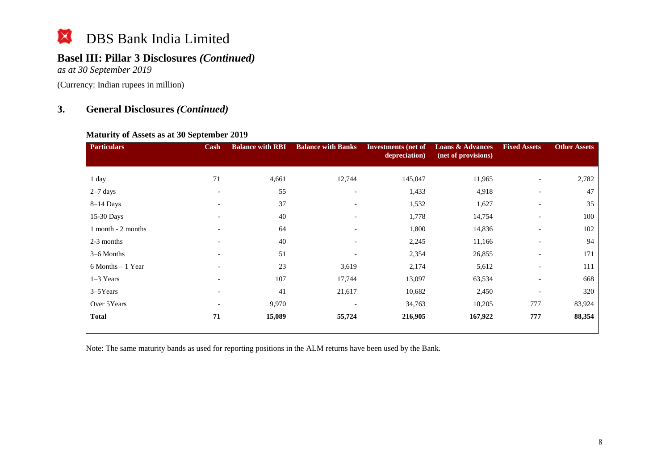### **Basel III: Pillar 3 Disclosures** *(Continued)*

*as at 30 September 2019*

(Currency: Indian rupees in million)

### **3. General Disclosures** *(Continued)*

### **Maturity of Assets as at 30 September 2019**

| <b>Particulars</b>   | Cash                     | <b>Balance with RBI</b> | <b>Balance with Banks</b> | <b>Investments</b> (net of<br>depreciation) | <b>Loans &amp; Advances</b><br>(net of provisions) | <b>Fixed Assets</b>      | <b>Other Assets</b> |
|----------------------|--------------------------|-------------------------|---------------------------|---------------------------------------------|----------------------------------------------------|--------------------------|---------------------|
| 1 day                | 71                       | 4,661                   | 12,744                    | 145,047                                     | 11,965                                             |                          | 2,782               |
| $2-7$ days           | $\overline{\phantom{a}}$ | 55                      | $\overline{\phantom{0}}$  | 1,433                                       | 4,918                                              |                          | 47                  |
| $8-14$ Days          | $\overline{\phantom{a}}$ | 37                      | $\overline{\phantom{a}}$  | 1,532                                       | 1,627                                              | $\overline{\phantom{a}}$ | 35                  |
| 15-30 Days           | $\overline{\phantom{0}}$ | $40\,$                  | $\overline{\phantom{0}}$  | 1,778                                       | 14,754                                             | $\overline{\phantom{a}}$ | 100                 |
| 1 month - 2 months   | $\overline{\phantom{a}}$ | 64                      | $\overline{\phantom{0}}$  | 1,800                                       | 14,836                                             | $\overline{\phantom{a}}$ | 102                 |
| 2-3 months           |                          | 40                      |                           | 2,245                                       | 11,166                                             |                          | 94                  |
| 3–6 Months           |                          | 51                      |                           | 2,354                                       | 26,855                                             | $\overline{\phantom{a}}$ | 171                 |
| $6$ Months $-1$ Year |                          | 23                      | 3,619                     | 2,174                                       | 5,612                                              | $\overline{\phantom{a}}$ | 111                 |
| $1-3$ Years          | $\overline{\phantom{0}}$ | 107                     | 17,744                    | 13,097                                      | 63,534                                             | $\overline{\phantom{a}}$ | 668                 |
| $3-5$ Years          | $\overline{\phantom{a}}$ | 41                      | 21,617                    | 10,682                                      | 2,450                                              | $\overline{\phantom{a}}$ | 320                 |
| Over 5Years          | $\overline{\phantom{0}}$ | 9,970                   |                           | 34,763                                      | 10,205                                             | 777                      | 83,924              |
| <b>Total</b>         | 71                       | 15,089                  | 55,724                    | 216,905                                     | 167,922                                            | 777                      | 88,354              |

Note: The same maturity bands as used for reporting positions in the ALM returns have been used by the Bank.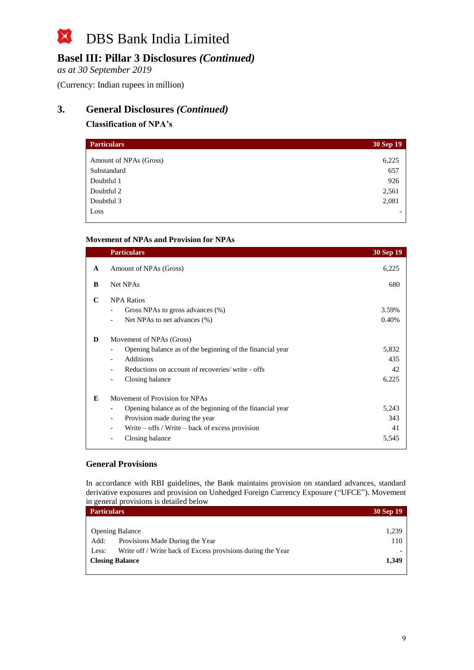## **Basel III: Pillar 3 Disclosures** *(Continued)*

*as at 30 September 2019*

(Currency: Indian rupees in million)

### **3. General Disclosures** *(Continued)*

### **Classification of NPA's**

| <b>Particulars</b>     | 30 Sep 19 |
|------------------------|-----------|
| Amount of NPAs (Gross) | 6,225     |
| Substandard            | 657       |
| Doubtful 1             | 926       |
| Doubtful 2             | 2,561     |
| Doubtful 3             | 2,081     |
| Loss                   |           |

#### **Movement of NPAs and Provision for NPAs**

|   | <b>Particulars</b>                                                                                                                                                                                                                  | 30 Sep 19                   |
|---|-------------------------------------------------------------------------------------------------------------------------------------------------------------------------------------------------------------------------------------|-----------------------------|
| A | Amount of NPAs (Gross)                                                                                                                                                                                                              | 6,225                       |
| B | Net NPAs                                                                                                                                                                                                                            | 680                         |
| C | <b>NPA Ratios</b><br>Gross NPAs to gross advances (%)<br>Net NPAs to net advances (%)                                                                                                                                               | 3.59%<br>0.40%              |
| D | Movement of NPAs (Gross)<br>Opening balance as of the beginning of the financial year<br><b>Additions</b><br>$\overline{\phantom{a}}$<br>Reductions on account of recoveries/ write - offs<br>Closing balance                       | 5,832<br>435<br>42<br>6,225 |
| E | Movement of Provision for NPAs<br>Opening balance as of the beginning of the financial year<br>Provision made during the year<br>$\overline{\phantom{a}}$<br>Write $-$ offs / Write $-$ back of excess provision<br>Closing balance | 5,243<br>343<br>41<br>5,545 |

#### **General Provisions**

In accordance with RBI guidelines, the Bank maintains provision on standard advances, standard derivative exposures and provision on Unhedged Foreign Currency Exposure ("UFCE"). Movement in general provisions is detailed below

| <b>Particulars</b>                                                   | 30 Sep 19 |
|----------------------------------------------------------------------|-----------|
|                                                                      |           |
| <b>Opening Balance</b>                                               | 1,239     |
| Provisions Made During the Year<br>Add:                              | 110       |
| Write off / Write back of Excess provisions during the Year<br>Less: |           |
| <b>Closing Balance</b>                                               | 1,349     |
|                                                                      |           |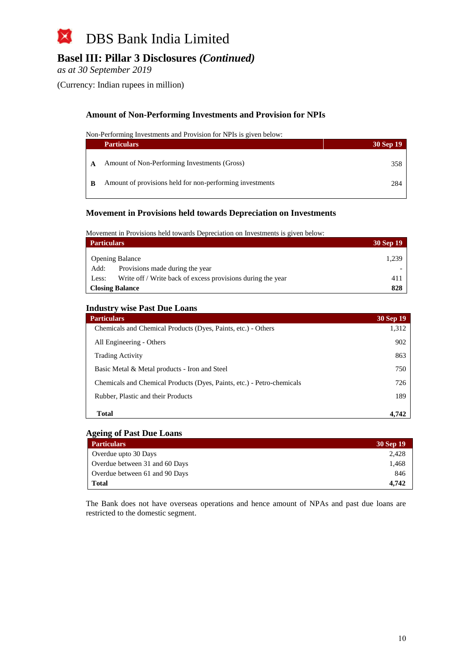

*as at 30 September 2019*

(Currency: Indian rupees in million)

#### **Amount of Non-Performing Investments and Provision for NPIs**

Non-Performing Investments and Provision for NPIs is given below:

|   | <b>Particulars</b>                                       | 30 Sep 19 |
|---|----------------------------------------------------------|-----------|
|   | Amount of Non-Performing Investments (Gross)             | 358       |
| B | Amount of provisions held for non-performing investments | 284       |

#### **Movement in Provisions held towards Depreciation on Investments**

Movement in Provisions held towards Depreciation on Investments is given below:

| <b>Particulars</b>                                                   | 30 Sep 19 |
|----------------------------------------------------------------------|-----------|
| <b>Opening Balance</b>                                               | 1,239     |
| Provisions made during the year<br>Add:                              |           |
| Write off / Write back of excess provisions during the year<br>Less: | 411       |
| <b>Closing Balance</b>                                               | 828       |

#### **Industry wise Past Due Loans**

| <b>Particulars</b>                                                     | <b>30 Sep 19</b> |
|------------------------------------------------------------------------|------------------|
| Chemicals and Chemical Products (Dyes, Paints, etc.) - Others          | 1,312            |
| All Engineering - Others                                               | 902              |
| <b>Trading Activity</b>                                                | 863              |
| Basic Metal & Metal products - Iron and Steel                          | 750              |
| Chemicals and Chemical Products (Dyes, Paints, etc.) - Petro-chemicals | 726              |
| Rubber, Plastic and their Products                                     | 189              |
| Total                                                                  | 4.742            |

#### **Ageing of Past Due Loans**

| <b>Particulars</b>             | 30 Sep 19 |
|--------------------------------|-----------|
| Overdue upto 30 Days           | 2.428     |
| Overdue between 31 and 60 Days | 1.468     |
| Overdue between 61 and 90 Days | 846       |
| Total                          | 4.742     |

The Bank does not have overseas operations and hence amount of NPAs and past due loans are restricted to the domestic segment.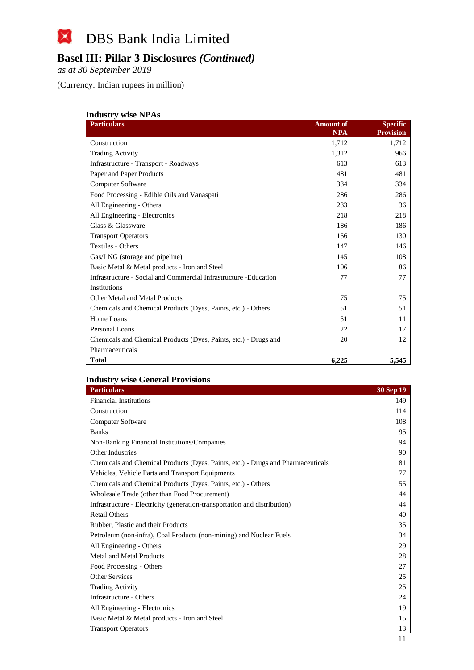## **Basel III: Pillar 3 Disclosures** *(Continued)*

*as at 30 September 2019*

(Currency: Indian rupees in million)

| <b>Industry wise NPAs</b>                                         |                                |                                     |  |
|-------------------------------------------------------------------|--------------------------------|-------------------------------------|--|
| <b>Particulars</b>                                                | <b>Amount of</b><br><b>NPA</b> | <b>Specific</b><br><b>Provision</b> |  |
| Construction                                                      | 1,712                          | 1,712                               |  |
| <b>Trading Activity</b>                                           | 1,312                          | 966                                 |  |
| Infrastructure - Transport - Roadways                             | 613                            | 613                                 |  |
| Paper and Paper Products                                          | 481                            | 481                                 |  |
| Computer Software                                                 | 334                            | 334                                 |  |
| Food Processing - Edible Oils and Vanaspati                       | 286                            | 286                                 |  |
| All Engineering - Others                                          | 233                            | 36                                  |  |
| All Engineering - Electronics                                     | 218                            | 218                                 |  |
| Glass & Glassware                                                 | 186                            | 186                                 |  |
| <b>Transport Operators</b>                                        | 156                            | 130                                 |  |
| Textiles - Others                                                 | 147                            | 146                                 |  |
| Gas/LNG (storage and pipeline)                                    | 145                            | 108                                 |  |
| Basic Metal & Metal products - Iron and Steel                     | 106                            | 86                                  |  |
| Infrastructure - Social and Commercial Infrastructure - Education | 77                             | 77                                  |  |
| Institutions                                                      |                                |                                     |  |
| Other Metal and Metal Products                                    | 75                             | 75                                  |  |
| Chemicals and Chemical Products (Dyes, Paints, etc.) - Others     | 51                             | 51                                  |  |
| Home Loans                                                        | 51                             | 11                                  |  |
| Personal Loans                                                    | 22                             | 17                                  |  |
| Chemicals and Chemical Products (Dyes, Paints, etc.) - Drugs and  | 20                             | 12                                  |  |
| Pharmaceuticals                                                   |                                |                                     |  |
| Total                                                             | 6,225                          | 5,545                               |  |

### **Industry wise General Provisions**

| <b>Particulars</b>                                                               | 30 Sep 19 |
|----------------------------------------------------------------------------------|-----------|
| <b>Financial Institutions</b>                                                    | 149       |
| Construction                                                                     | 114       |
| <b>Computer Software</b>                                                         | 108       |
| <b>Banks</b>                                                                     | 95        |
| Non-Banking Financial Institutions/Companies                                     | 94        |
| Other Industries                                                                 | 90        |
| Chemicals and Chemical Products (Dyes, Paints, etc.) - Drugs and Pharmaceuticals | 81        |
| Vehicles, Vehicle Parts and Transport Equipments                                 | 77        |
| Chemicals and Chemical Products (Dyes, Paints, etc.) - Others                    | 55        |
| Wholesale Trade (other than Food Procurement)                                    | 44        |
| Infrastructure - Electricity (generation-transportation and distribution)        | 44        |
| <b>Retail Others</b>                                                             | 40        |
| Rubber, Plastic and their Products                                               | 35        |
| Petroleum (non-infra), Coal Products (non-mining) and Nuclear Fuels              | 34        |
| All Engineering - Others                                                         | 29        |
| Metal and Metal Products                                                         | 28        |
| Food Processing - Others                                                         | 27        |
| Other Services                                                                   | 25        |
| <b>Trading Activity</b>                                                          | 25        |
| Infrastructure - Others                                                          | 24        |
| All Engineering - Electronics                                                    | 19        |
| Basic Metal & Metal products - Iron and Steel                                    | 15        |
| <b>Transport Operators</b>                                                       | 13        |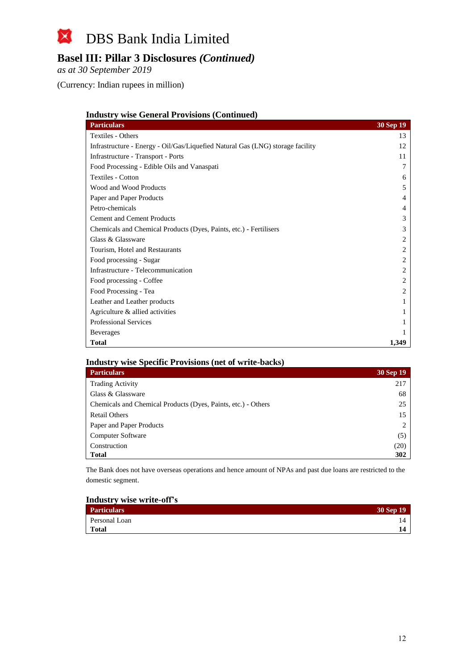## **Basel III: Pillar 3 Disclosures** *(Continued)*

*as at 30 September 2019*

(Currency: Indian rupees in million)

#### **Industry wise General Provisions (Continued)**

| <b>Particulars</b>                                                             | <b>30 Sep 19</b> |
|--------------------------------------------------------------------------------|------------------|
| Textiles - Others                                                              | 13               |
| Infrastructure - Energy - Oil/Gas/Liquefied Natural Gas (LNG) storage facility | 12               |
| Infrastructure - Transport - Ports                                             | 11               |
| Food Processing - Edible Oils and Vanaspati                                    |                  |
| <b>Textiles - Cotton</b>                                                       | 6                |
| Wood and Wood Products                                                         | 5                |
| Paper and Paper Products                                                       | 4                |
| Petro-chemicals                                                                | 4                |
| <b>Cement and Cement Products</b>                                              | 3                |
| Chemicals and Chemical Products (Dyes, Paints, etc.) - Fertilisers             | 3                |
| Glass & Glassware                                                              | 2                |
| Tourism, Hotel and Restaurants                                                 | 2                |
| Food processing - Sugar                                                        |                  |
| Infrastructure - Telecommunication                                             | 2                |
| Food processing - Coffee                                                       | 2                |
| Food Processing - Tea                                                          |                  |
| Leather and Leather products                                                   |                  |
| Agriculture & allied activities                                                |                  |
| <b>Professional Services</b>                                                   |                  |
| <b>Beverages</b>                                                               |                  |
| <b>Total</b>                                                                   | 1,349            |

### **Industry wise Specific Provisions (net of write-backs)**

| <b>Particulars</b>                                            | <b>30 Sep 19</b> |
|---------------------------------------------------------------|------------------|
| <b>Trading Activity</b>                                       | 217              |
| Glass & Glassware                                             | 68               |
| Chemicals and Chemical Products (Dyes, Paints, etc.) - Others | 25               |
| <b>Retail Others</b>                                          | 15               |
| Paper and Paper Products                                      |                  |
| <b>Computer Software</b>                                      | (5)              |
| Construction                                                  | (20)             |
| <b>Total</b>                                                  | 302              |

The Bank does not have overseas operations and hence amount of NPAs and past due loans are restricted to the domestic segment.

#### **Industry wise write-off's**

| <b>Particulars</b> | 30 Sep 19 |
|--------------------|-----------|
| Personal Loan      |           |
| Total              |           |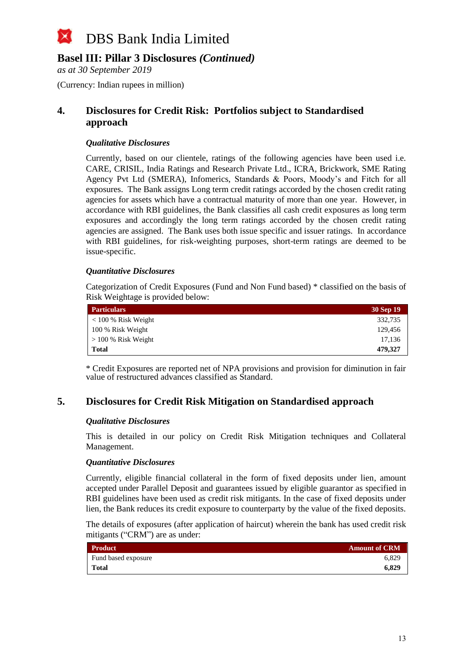

*as at 30 September 2019*

(Currency: Indian rupees in million)

### **4. Disclosures for Credit Risk: Portfolios subject to Standardised approach**

#### *Qualitative Disclosures*

Currently, based on our clientele, ratings of the following agencies have been used i.e. CARE, CRISIL, India Ratings and Research Private Ltd., ICRA, Brickwork, SME Rating Agency Pvt Ltd (SMERA), Infomerics, Standards & Poors, Moody's and Fitch for all exposures. The Bank assigns Long term credit ratings accorded by the chosen credit rating agencies for assets which have a contractual maturity of more than one year. However, in accordance with RBI guidelines, the Bank classifies all cash credit exposures as long term exposures and accordingly the long term ratings accorded by the chosen credit rating agencies are assigned. The Bank uses both issue specific and issuer ratings. In accordance with RBI guidelines, for risk-weighting purposes, short-term ratings are deemed to be issue-specific.

#### *Quantitative Disclosures*

Categorization of Credit Exposures (Fund and Non Fund based) \* classified on the basis of Risk Weightage is provided below:

| <b>Particulars</b>    | 30 Sep 19 |
|-----------------------|-----------|
| $< 100 %$ Risk Weight | 332,735   |
| 100 % Risk Weight     | 129,456   |
| $> 100\%$ Risk Weight | 17,136    |
| Total                 | 479,327   |

\* Credit Exposures are reported net of NPA provisions and provision for diminution in fair value of restructured advances classified as Standard.

### **5. Disclosures for Credit Risk Mitigation on Standardised approach**

#### *Qualitative Disclosures*

This is detailed in our policy on Credit Risk Mitigation techniques and Collateral Management.

#### *Quantitative Disclosures*

Currently, eligible financial collateral in the form of fixed deposits under lien, amount accepted under Parallel Deposit and guarantees issued by eligible guarantor as specified in RBI guidelines have been used as credit risk mitigants. In the case of fixed deposits under lien, the Bank reduces its credit exposure to counterparty by the value of the fixed deposits.

The details of exposures (after application of haircut) wherein the bank has used credit risk mitigants ("CRM") are as under:

| <b>Product</b>      | <b>Amount of CRM</b> |
|---------------------|----------------------|
| Fund based exposure | 6.829                |
| <b>Total</b>        | 6.829                |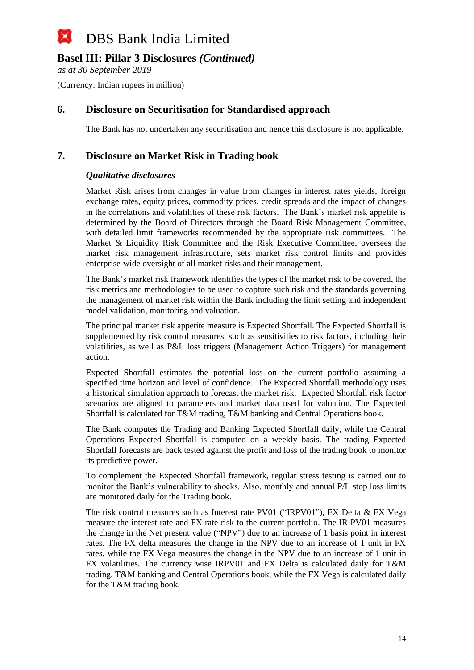*as at 30 September 2019*

(Currency: Indian rupees in million)

### **6. Disclosure on Securitisation for Standardised approach**

The Bank has not undertaken any securitisation and hence this disclosure is not applicable.

### **7. Disclosure on Market Risk in Trading book**

### *Qualitative disclosures*

Market Risk arises from changes in value from changes in interest rates yields, foreign exchange rates, equity prices, commodity prices, credit spreads and the impact of changes in the correlations and volatilities of these risk factors. The Bank's market risk appetite is determined by the Board of Directors through the Board Risk Management Committee, with detailed limit frameworks recommended by the appropriate risk committees. The Market & Liquidity Risk Committee and the Risk Executive Committee, oversees the market risk management infrastructure, sets market risk control limits and provides enterprise-wide oversight of all market risks and their management.

The Bank's market risk framework identifies the types of the market risk to be covered, the risk metrics and methodologies to be used to capture such risk and the standards governing the management of market risk within the Bank including the limit setting and independent model validation, monitoring and valuation.

The principal market risk appetite measure is Expected Shortfall. The Expected Shortfall is supplemented by risk control measures, such as sensitivities to risk factors, including their volatilities, as well as P&L loss triggers (Management Action Triggers) for management action.

Expected Shortfall estimates the potential loss on the current portfolio assuming a specified time horizon and level of confidence. The Expected Shortfall methodology uses a historical simulation approach to forecast the market risk. Expected Shortfall risk factor scenarios are aligned to parameters and market data used for valuation. The Expected Shortfall is calculated for T&M trading, T&M banking and Central Operations book.

The Bank computes the Trading and Banking Expected Shortfall daily, while the Central Operations Expected Shortfall is computed on a weekly basis. The trading Expected Shortfall forecasts are back tested against the profit and loss of the trading book to monitor its predictive power.

To complement the Expected Shortfall framework, regular stress testing is carried out to monitor the Bank's vulnerability to shocks. Also, monthly and annual P/L stop loss limits are monitored daily for the Trading book.

The risk control measures such as Interest rate PV01 ("IRPV01"), FX Delta & FX Vega measure the interest rate and FX rate risk to the current portfolio. The IR PV01 measures the change in the Net present value ("NPV") due to an increase of 1 basis point in interest rates. The FX delta measures the change in the NPV due to an increase of 1 unit in FX rates, while the FX Vega measures the change in the NPV due to an increase of 1 unit in FX volatilities. The currency wise IRPV01 and FX Delta is calculated daily for T&M trading, T&M banking and Central Operations book, while the FX Vega is calculated daily for the T&M trading book.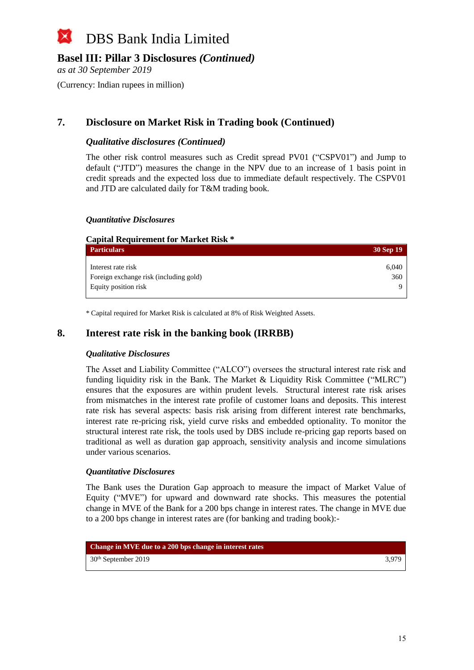

*as at 30 September 2019*

(Currency: Indian rupees in million)

### **7. Disclosure on Market Risk in Trading book (Continued)**

#### *Qualitative disclosures (Continued)*

The other risk control measures such as Credit spread PV01 ("CSPV01") and Jump to default ("JTD") measures the change in the NPV due to an increase of 1 basis point in credit spreads and the expected loss due to immediate default respectively. The CSPV01 and JTD are calculated daily for T&M trading book.

#### *Quantitative Disclosures*

| <b>Capital Requirement for Market Risk *</b> |           |
|----------------------------------------------|-----------|
| <b>Particulars</b>                           | 30 Sep 19 |
| Interest rate risk                           | 6.040     |
| Foreign exchange risk (including gold)       | 360       |
| Equity position risk                         |           |

\* Capital required for Market Risk is calculated at 8% of Risk Weighted Assets.

### **8. Interest rate risk in the banking book (IRRBB)**

#### *Qualitative Disclosures*

The Asset and Liability Committee ("ALCO") oversees the structural interest rate risk and funding liquidity risk in the Bank. The Market & Liquidity Risk Committee ("MLRC") ensures that the exposures are within prudent levels. Structural interest rate risk arises from mismatches in the interest rate profile of customer loans and deposits. This interest rate risk has several aspects: basis risk arising from different interest rate benchmarks, interest rate re-pricing risk, yield curve risks and embedded optionality. To monitor the structural interest rate risk, the tools used by DBS include re-pricing gap reports based on traditional as well as duration gap approach, sensitivity analysis and income simulations under various scenarios.

#### *Quantitative Disclosures*

The Bank uses the Duration Gap approach to measure the impact of Market Value of Equity ("MVE") for upward and downward rate shocks. This measures the potential change in MVE of the Bank for a 200 bps change in interest rates. The change in MVE due to a 200 bps change in interest rates are (for banking and trading book):-

| Change in MVE due to a 200 bps change in interest rates |       |
|---------------------------------------------------------|-------|
| 30 <sup>th</sup> September 2019                         | 3.979 |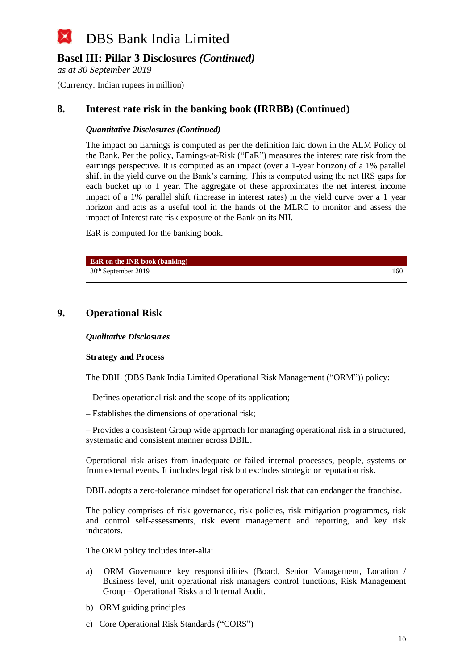### **Basel III: Pillar 3 Disclosures** *(Continued)*

*as at 30 September 2019*

(Currency: Indian rupees in million)

### **8. Interest rate risk in the banking book (IRRBB) (Continued)**

### *Quantitative Disclosures (Continued)*

The impact on Earnings is computed as per the definition laid down in the ALM Policy of the Bank. Per the policy, Earnings-at-Risk ("EaR") measures the interest rate risk from the earnings perspective. It is computed as an impact (over a 1-year horizon) of a 1% parallel shift in the yield curve on the Bank's earning. This is computed using the net IRS gaps for each bucket up to 1 year. The aggregate of these approximates the net interest income impact of a 1% parallel shift (increase in interest rates) in the yield curve over a 1 year horizon and acts as a useful tool in the hands of the MLRC to monitor and assess the impact of Interest rate risk exposure of the Bank on its NII.

EaR is computed for the banking book.

| <b>EaR</b> on the INR book (banking) |     |
|--------------------------------------|-----|
| $30th$ September 2019                | 160 |

### **9. Operational Risk**

#### *Qualitative Disclosures*

#### **Strategy and Process**

The DBIL (DBS Bank India Limited Operational Risk Management ("ORM")) policy:

– Defines operational risk and the scope of its application;

– Establishes the dimensions of operational risk;

– Provides a consistent Group wide approach for managing operational risk in a structured, systematic and consistent manner across DBIL.

Operational risk arises from inadequate or failed internal processes, people, systems or from external events. It includes legal risk but excludes strategic or reputation risk.

DBIL adopts a zero-tolerance mindset for operational risk that can endanger the franchise.

The policy comprises of risk governance, risk policies, risk mitigation programmes, risk and control self-assessments, risk event management and reporting, and key risk indicators.

The ORM policy includes inter-alia:

- a) ORM Governance key responsibilities (Board, Senior Management, Location / Business level, unit operational risk managers control functions, Risk Management Group – Operational Risks and Internal Audit.
- b) ORM guiding principles
- c) Core Operational Risk Standards ("CORS")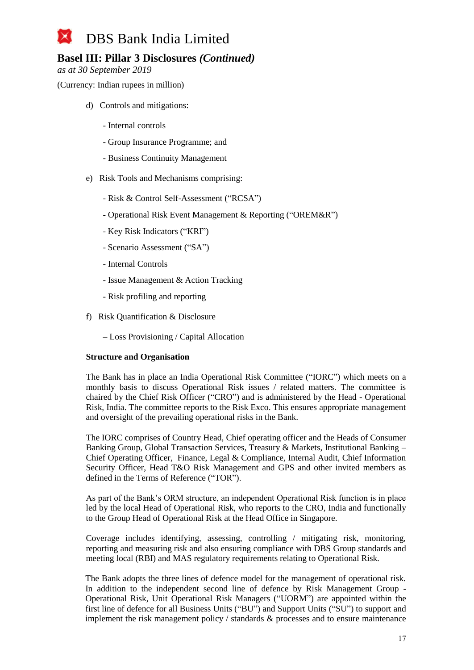## **Basel III: Pillar 3 Disclosures** *(Continued)*

*as at 30 September 2019*

(Currency: Indian rupees in million)

- d) Controls and mitigations:
	- Internal controls
	- Group Insurance Programme; and
	- Business Continuity Management
- e) Risk Tools and Mechanisms comprising:
	- Risk & Control Self-Assessment ("RCSA")
	- Operational Risk Event Management & Reporting ("OREM&R")
	- Key Risk Indicators ("KRI")
	- Scenario Assessment ("SA")
	- Internal Controls
	- Issue Management & Action Tracking
	- Risk profiling and reporting
- f) Risk Quantification & Disclosure
	- Loss Provisioning / Capital Allocation

#### **Structure and Organisation**

The Bank has in place an India Operational Risk Committee ("IORC") which meets on a monthly basis to discuss Operational Risk issues / related matters. The committee is chaired by the Chief Risk Officer ("CRO") and is administered by the Head - Operational Risk, India. The committee reports to the Risk Exco. This ensures appropriate management and oversight of the prevailing operational risks in the Bank.

The IORC comprises of Country Head, Chief operating officer and the Heads of Consumer Banking Group, Global Transaction Services, Treasury & Markets, Institutional Banking – Chief Operating Officer, Finance, Legal & Compliance, Internal Audit, Chief Information Security Officer, Head T&O Risk Management and GPS and other invited members as defined in the Terms of Reference ("TOR").

As part of the Bank's ORM structure, an independent Operational Risk function is in place led by the local Head of Operational Risk, who reports to the CRO, India and functionally to the Group Head of Operational Risk at the Head Office in Singapore.

Coverage includes identifying, assessing, controlling / mitigating risk, monitoring, reporting and measuring risk and also ensuring compliance with DBS Group standards and meeting local (RBI) and MAS regulatory requirements relating to Operational Risk.

The Bank adopts the three lines of defence model for the management of operational risk. In addition to the independent second line of defence by Risk Management Group - Operational Risk, Unit Operational Risk Managers ("UORM") are appointed within the first line of defence for all Business Units ("BU") and Support Units ("SU") to support and implement the risk management policy / standards & processes and to ensure maintenance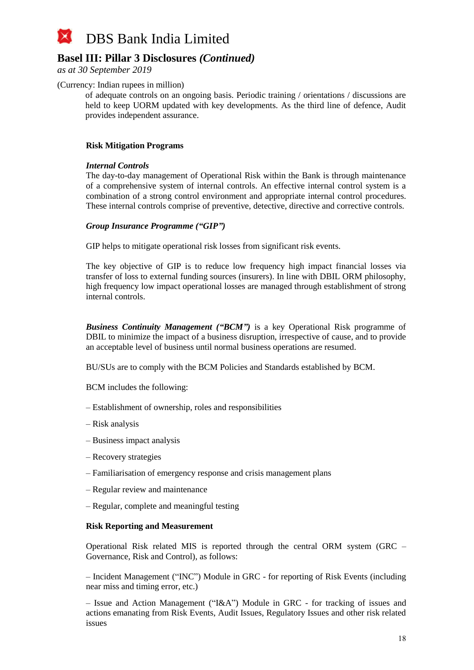

*as at 30 September 2019*

#### (Currency: Indian rupees in million)

of adequate controls on an ongoing basis. Periodic training / orientations / discussions are held to keep UORM updated with key developments. As the third line of defence, Audit provides independent assurance.

#### **Risk Mitigation Programs**

#### *Internal Controls*

The day-to-day management of Operational Risk within the Bank is through maintenance of a comprehensive system of internal controls. An effective internal control system is a combination of a strong control environment and appropriate internal control procedures. These internal controls comprise of preventive, detective, directive and corrective controls.

#### *Group Insurance Programme ("GIP")*

GIP helps to mitigate operational risk losses from significant risk events.

The key objective of GIP is to reduce low frequency high impact financial losses via transfer of loss to external funding sources (insurers). In line with DBIL ORM philosophy, high frequency low impact operational losses are managed through establishment of strong internal controls.

*Business Continuity Management ("BCM")* is a key Operational Risk programme of DBIL to minimize the impact of a business disruption, irrespective of cause, and to provide an acceptable level of business until normal business operations are resumed.

BU/SUs are to comply with the BCM Policies and Standards established by BCM.

BCM includes the following:

- Establishment of ownership, roles and responsibilities
- Risk analysis
- Business impact analysis
- Recovery strategies
- Familiarisation of emergency response and crisis management plans
- Regular review and maintenance
- Regular, complete and meaningful testing

#### **Risk Reporting and Measurement**

Operational Risk related MIS is reported through the central ORM system (GRC – Governance, Risk and Control), as follows:

– Incident Management ("INC") Module in GRC - for reporting of Risk Events (including near miss and timing error, etc.)

– Issue and Action Management ("I&A") Module in GRC - for tracking of issues and actions emanating from Risk Events, Audit Issues, Regulatory Issues and other risk related issues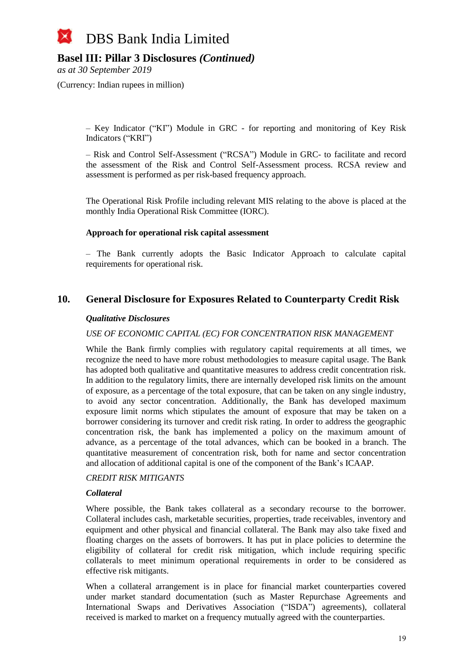### **Basel III: Pillar 3 Disclosures** *(Continued)*

*as at 30 September 2019*

(Currency: Indian rupees in million)

– Key Indicator ("KI") Module in GRC - for reporting and monitoring of Key Risk Indicators ("KRI")

– Risk and Control Self-Assessment ("RCSA") Module in GRC- to facilitate and record the assessment of the Risk and Control Self-Assessment process. RCSA review and assessment is performed as per risk-based frequency approach.

The Operational Risk Profile including relevant MIS relating to the above is placed at the monthly India Operational Risk Committee (IORC).

#### **Approach for operational risk capital assessment**

– The Bank currently adopts the Basic Indicator Approach to calculate capital requirements for operational risk.

### **10. General Disclosure for Exposures Related to Counterparty Credit Risk**

#### *Qualitative Disclosures*

#### *USE OF ECONOMIC CAPITAL (EC) FOR CONCENTRATION RISK MANAGEMENT*

While the Bank firmly complies with regulatory capital requirements at all times, we recognize the need to have more robust methodologies to measure capital usage. The Bank has adopted both qualitative and quantitative measures to address credit concentration risk. In addition to the regulatory limits, there are internally developed risk limits on the amount of exposure, as a percentage of the total exposure, that can be taken on any single industry, to avoid any sector concentration. Additionally, the Bank has developed maximum exposure limit norms which stipulates the amount of exposure that may be taken on a borrower considering its turnover and credit risk rating. In order to address the geographic concentration risk, the bank has implemented a policy on the maximum amount of advance, as a percentage of the total advances, which can be booked in a branch. The quantitative measurement of concentration risk, both for name and sector concentration and allocation of additional capital is one of the component of the Bank's ICAAP.

#### *CREDIT RISK MITIGANTS*

#### *Collateral*

Where possible, the Bank takes collateral as a secondary recourse to the borrower. Collateral includes cash, marketable securities, properties, trade receivables, inventory and equipment and other physical and financial collateral. The Bank may also take fixed and floating charges on the assets of borrowers. It has put in place policies to determine the eligibility of collateral for credit risk mitigation, which include requiring specific collaterals to meet minimum operational requirements in order to be considered as effective risk mitigants.

When a collateral arrangement is in place for financial market counterparties covered under market standard documentation (such as Master Repurchase Agreements and International Swaps and Derivatives Association ("ISDA") agreements), collateral received is marked to market on a frequency mutually agreed with the counterparties.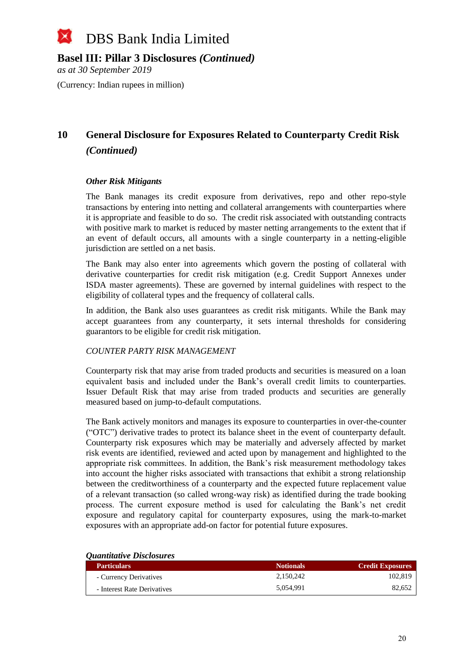

*as at 30 September 2019*

(Currency: Indian rupees in million)

# **10 General Disclosure for Exposures Related to Counterparty Credit Risk** *(Continued)*

#### *Other Risk Mitigants*

The Bank manages its credit exposure from derivatives, repo and other repo-style transactions by entering into netting and collateral arrangements with counterparties where it is appropriate and feasible to do so. The credit risk associated with outstanding contracts with positive mark to market is reduced by master netting arrangements to the extent that if an event of default occurs, all amounts with a single counterparty in a netting-eligible jurisdiction are settled on a net basis.

The Bank may also enter into agreements which govern the posting of collateral with derivative counterparties for credit risk mitigation (e.g. Credit Support Annexes under ISDA master agreements). These are governed by internal guidelines with respect to the eligibility of collateral types and the frequency of collateral calls.

In addition, the Bank also uses guarantees as credit risk mitigants. While the Bank may accept guarantees from any counterparty, it sets internal thresholds for considering guarantors to be eligible for credit risk mitigation.

### *COUNTER PARTY RISK MANAGEMENT*

Counterparty risk that may arise from traded products and securities is measured on a loan equivalent basis and included under the Bank's overall credit limits to counterparties. Issuer Default Risk that may arise from traded products and securities are generally measured based on jump-to-default computations.

The Bank actively monitors and manages its exposure to counterparties in over-the-counter ("OTC") derivative trades to protect its balance sheet in the event of counterparty default. Counterparty risk exposures which may be materially and adversely affected by market risk events are identified, reviewed and acted upon by management and highlighted to the appropriate risk committees. In addition, the Bank's risk measurement methodology takes into account the higher risks associated with transactions that exhibit a strong relationship between the creditworthiness of a counterparty and the expected future replacement value of a relevant transaction (so called wrong-way risk) as identified during the trade booking process. The current exposure method is used for calculating the Bank's net credit exposure and regulatory capital for counterparty exposures, using the mark-to-market exposures with an appropriate add-on factor for potential future exposures.

| <i><b>Quantitutive Disclosures</b></i> |                  |                         |
|----------------------------------------|------------------|-------------------------|
| <b>Particulars</b>                     | <b>Notionals</b> | <b>Credit Exposures</b> |
| - Currency Derivatives                 | 2.150.242        | 102.819                 |
| - Interest Rate Derivatives            | 5.054.991        | 82.652                  |

### *Quantitative Disclosures*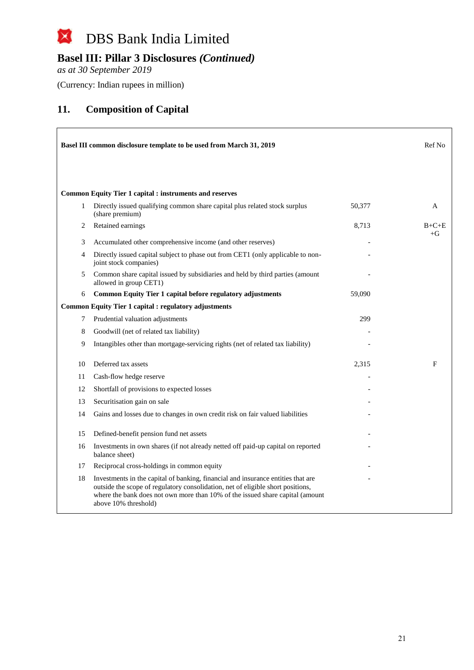#### $\boxtimes$ DBS Bank India Limited

# **Basel III: Pillar 3 Disclosures** *(Continued)*

*as at 30 September 2019*

(Currency: Indian rupees in million)

### **11. Composition of Capital**

|    | Basel III common disclosure template to be used from March 31, 2019                                                                                                                                                                                                          |        | Ref No  |
|----|------------------------------------------------------------------------------------------------------------------------------------------------------------------------------------------------------------------------------------------------------------------------------|--------|---------|
|    | <b>Common Equity Tier 1 capital : instruments and reserves</b>                                                                                                                                                                                                               |        |         |
| 1  | Directly issued qualifying common share capital plus related stock surplus<br>(share premium)                                                                                                                                                                                | 50,377 | A       |
| 2  | Retained earnings                                                                                                                                                                                                                                                            | 8,713  | $B+C+E$ |
| 3  | Accumulated other comprehensive income (and other reserves)                                                                                                                                                                                                                  |        | $+G$    |
| 4  | Directly issued capital subject to phase out from CET1 (only applicable to non-<br>joint stock companies)                                                                                                                                                                    |        |         |
| 5  | Common share capital issued by subsidiaries and held by third parties (amount<br>allowed in group CET1)                                                                                                                                                                      |        |         |
| 6  | Common Equity Tier 1 capital before regulatory adjustments                                                                                                                                                                                                                   | 59,090 |         |
|    | <b>Common Equity Tier 1 capital : regulatory adjustments</b>                                                                                                                                                                                                                 |        |         |
| 7  | Prudential valuation adjustments                                                                                                                                                                                                                                             | 299    |         |
| 8  | Goodwill (net of related tax liability)                                                                                                                                                                                                                                      |        |         |
| 9  | Intangibles other than mortgage-servicing rights (net of related tax liability)                                                                                                                                                                                              |        |         |
| 10 | Deferred tax assets                                                                                                                                                                                                                                                          | 2,315  | F       |
| 11 | Cash-flow hedge reserve                                                                                                                                                                                                                                                      |        |         |
| 12 | Shortfall of provisions to expected losses                                                                                                                                                                                                                                   |        |         |
| 13 | Securitisation gain on sale                                                                                                                                                                                                                                                  |        |         |
| 14 | Gains and losses due to changes in own credit risk on fair valued liabilities                                                                                                                                                                                                |        |         |
| 15 | Defined-benefit pension fund net assets                                                                                                                                                                                                                                      |        |         |
| 16 | Investments in own shares (if not already netted off paid-up capital on reported<br>balance sheet)                                                                                                                                                                           |        |         |
| 17 | Reciprocal cross-holdings in common equity                                                                                                                                                                                                                                   |        |         |
| 18 | Investments in the capital of banking, financial and insurance entities that are<br>outside the scope of regulatory consolidation, net of eligible short positions,<br>where the bank does not own more than 10% of the issued share capital (amount<br>above 10% threshold) |        |         |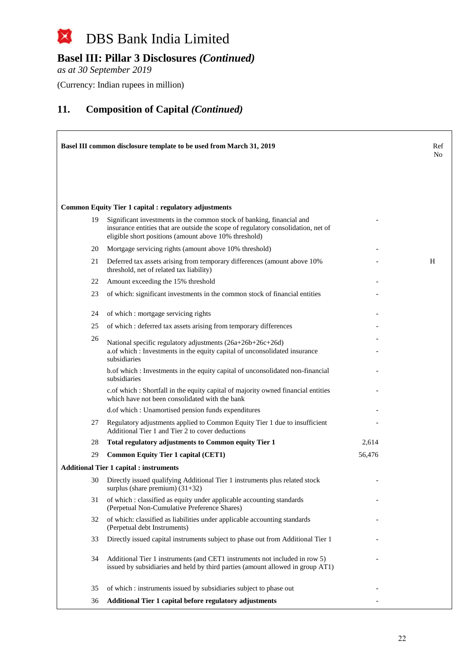# **Basel III: Pillar 3 Disclosures** *(Continued)*

*as at 30 September 2019*

(Currency: Indian rupees in million)

|    | Basel III common disclosure template to be used from March 31, 2019                                                                                                                                                 |        | Ref<br>N <sub>0</sub> |
|----|---------------------------------------------------------------------------------------------------------------------------------------------------------------------------------------------------------------------|--------|-----------------------|
|    |                                                                                                                                                                                                                     |        |                       |
|    | <b>Common Equity Tier 1 capital : regulatory adjustments</b>                                                                                                                                                        |        |                       |
| 19 | Significant investments in the common stock of banking, financial and<br>insurance entities that are outside the scope of regulatory consolidation, net of<br>eligible short positions (amount above 10% threshold) |        |                       |
| 20 | Mortgage servicing rights (amount above 10% threshold)                                                                                                                                                              |        |                       |
| 21 | Deferred tax assets arising from temporary differences (amount above 10%)<br>threshold, net of related tax liability)                                                                                               |        | Н                     |
| 22 | Amount exceeding the 15% threshold                                                                                                                                                                                  |        |                       |
| 23 | of which: significant investments in the common stock of financial entities                                                                                                                                         |        |                       |
| 24 | of which : mortgage servicing rights                                                                                                                                                                                |        |                       |
| 25 | of which: deferred tax assets arising from temporary differences                                                                                                                                                    |        |                       |
| 26 | National specific regulatory adjustments (26a+26b+26c+26d)<br>a.of which : Investments in the equity capital of unconsolidated insurance<br>subsidiaries                                                            |        |                       |
|    | b. of which: Investments in the equity capital of unconsolidated non-financial<br>subsidiaries                                                                                                                      |        |                       |
|    | c.of which: Shortfall in the equity capital of majority owned financial entities<br>which have not been consolidated with the bank                                                                                  |        |                       |
|    | d.of which: Unamortised pension funds expenditures                                                                                                                                                                  |        |                       |
| 27 | Regulatory adjustments applied to Common Equity Tier 1 due to insufficient<br>Additional Tier 1 and Tier 2 to cover deductions                                                                                      |        |                       |
| 28 | Total regulatory adjustments to Common equity Tier 1                                                                                                                                                                | 2,614  |                       |
| 29 | <b>Common Equity Tier 1 capital (CET1)</b>                                                                                                                                                                          | 56,476 |                       |
|    | <b>Additional Tier 1 capital : instruments</b>                                                                                                                                                                      |        |                       |
| 30 | Directly issued qualifying Additional Tier 1 instruments plus related stock<br>surplus (share premium) $(31+32)$                                                                                                    |        |                       |
| 31 | of which: classified as equity under applicable accounting standards<br>(Perpetual Non-Cumulative Preference Shares)                                                                                                |        |                       |
| 32 | of which: classified as liabilities under applicable accounting standards<br>(Perpetual debt Instruments)                                                                                                           |        |                       |
| 33 | Directly issued capital instruments subject to phase out from Additional Tier 1                                                                                                                                     |        |                       |
| 34 | Additional Tier 1 instruments (and CET1 instruments not included in row 5)<br>issued by subsidiaries and held by third parties (amount allowed in group AT1)                                                        |        |                       |
| 35 | of which: instruments issued by subsidiaries subject to phase out                                                                                                                                                   |        |                       |
| 36 | Additional Tier 1 capital before regulatory adjustments                                                                                                                                                             |        |                       |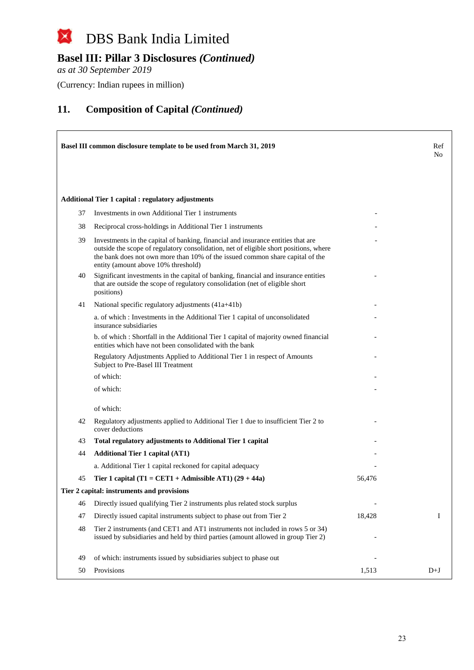# **Basel III: Pillar 3 Disclosures** *(Continued)*

*as at 30 September 2019*

 $\Gamma$ 

(Currency: Indian rupees in million)

|    | Basel III common disclosure template to be used from March 31, 2019                                                                                                                                                                                                                               |        | Ref<br>No |
|----|---------------------------------------------------------------------------------------------------------------------------------------------------------------------------------------------------------------------------------------------------------------------------------------------------|--------|-----------|
|    | <b>Additional Tier 1 capital : regulatory adjustments</b>                                                                                                                                                                                                                                         |        |           |
| 37 | Investments in own Additional Tier 1 instruments                                                                                                                                                                                                                                                  |        |           |
| 38 | Reciprocal cross-holdings in Additional Tier 1 instruments                                                                                                                                                                                                                                        |        |           |
| 39 | Investments in the capital of banking, financial and insurance entities that are<br>outside the scope of regulatory consolidation, net of eligible short positions, where<br>the bank does not own more than 10% of the issued common share capital of the<br>entity (amount above 10% threshold) |        |           |
| 40 | Significant investments in the capital of banking, financial and insurance entities<br>that are outside the scope of regulatory consolidation (net of eligible short<br>positions)                                                                                                                |        |           |
| 41 | National specific regulatory adjustments (41a+41b)                                                                                                                                                                                                                                                |        |           |
|    | a. of which: Investments in the Additional Tier 1 capital of unconsolidated<br>insurance subsidiaries                                                                                                                                                                                             |        |           |
|    | b. of which : Shortfall in the Additional Tier 1 capital of majority owned financial<br>entities which have not been consolidated with the bank                                                                                                                                                   |        |           |
|    | Regulatory Adjustments Applied to Additional Tier 1 in respect of Amounts<br>Subject to Pre-Basel III Treatment                                                                                                                                                                                   |        |           |
|    | of which:                                                                                                                                                                                                                                                                                         |        |           |
|    | of which:                                                                                                                                                                                                                                                                                         |        |           |
|    | of which:                                                                                                                                                                                                                                                                                         |        |           |
| 42 | Regulatory adjustments applied to Additional Tier 1 due to insufficient Tier 2 to<br>cover deductions                                                                                                                                                                                             |        |           |
| 43 | Total regulatory adjustments to Additional Tier 1 capital                                                                                                                                                                                                                                         |        |           |
| 44 | <b>Additional Tier 1 capital (AT1)</b>                                                                                                                                                                                                                                                            |        |           |
|    | a. Additional Tier 1 capital reckoned for capital adequacy                                                                                                                                                                                                                                        |        |           |
| 45 | Tier 1 capital (T1 = CET1 + Admissible AT1) $(29 + 44a)$                                                                                                                                                                                                                                          | 56,476 |           |
|    | Tier 2 capital: instruments and provisions                                                                                                                                                                                                                                                        |        |           |
| 46 | Directly issued qualifying Tier 2 instruments plus related stock surplus                                                                                                                                                                                                                          |        |           |
| 47 | Directly issued capital instruments subject to phase out from Tier 2                                                                                                                                                                                                                              | 18,428 | Ι.        |
| 48 | Tier 2 instruments (and CET1 and AT1 instruments not included in rows 5 or 34)<br>issued by subsidiaries and held by third parties (amount allowed in group Tier 2)                                                                                                                               |        |           |
| 49 | of which: instruments issued by subsidiaries subject to phase out                                                                                                                                                                                                                                 |        |           |
| 50 | Provisions                                                                                                                                                                                                                                                                                        | 1,513  | $D+J$     |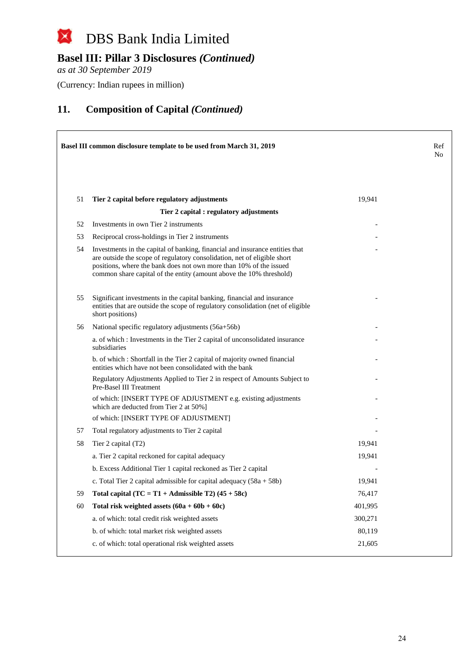# **Basel III: Pillar 3 Disclosures** *(Continued)*

*as at 30 September 2019*

(Currency: Indian rupees in million)

|    | Basel III common disclosure template to be used from March 31, 2019                                                                                                                                                                                                                                   |         | Ref<br>No |
|----|-------------------------------------------------------------------------------------------------------------------------------------------------------------------------------------------------------------------------------------------------------------------------------------------------------|---------|-----------|
| 51 | Tier 2 capital before regulatory adjustments                                                                                                                                                                                                                                                          | 19,941  |           |
|    | Tier 2 capital : regulatory adjustments                                                                                                                                                                                                                                                               |         |           |
| 52 | Investments in own Tier 2 instruments                                                                                                                                                                                                                                                                 |         |           |
| 53 | Reciprocal cross-holdings in Tier 2 instruments                                                                                                                                                                                                                                                       |         |           |
| 54 | Investments in the capital of banking, financial and insurance entities that<br>are outside the scope of regulatory consolidation, net of eligible short<br>positions, where the bank does not own more than 10% of the issued<br>common share capital of the entity (amount above the 10% threshold) |         |           |
| 55 | Significant investments in the capital banking, financial and insurance<br>entities that are outside the scope of regulatory consolidation (net of eligible<br>short positions)                                                                                                                       |         |           |
| 56 | National specific regulatory adjustments (56a+56b)                                                                                                                                                                                                                                                    |         |           |
|    | a. of which : Investments in the Tier 2 capital of unconsolidated insurance<br>subsidiaries                                                                                                                                                                                                           |         |           |
|    | b. of which: Shortfall in the Tier 2 capital of majority owned financial<br>entities which have not been consolidated with the bank                                                                                                                                                                   |         |           |
|    | Regulatory Adjustments Applied to Tier 2 in respect of Amounts Subject to<br>Pre-Basel III Treatment                                                                                                                                                                                                  |         |           |
|    | of which: [INSERT TYPE OF ADJUSTMENT e.g. existing adjustments<br>which are deducted from Tier 2 at 50%]                                                                                                                                                                                              |         |           |
|    | of which: [INSERT TYPE OF ADJUSTMENT]                                                                                                                                                                                                                                                                 |         |           |
| 57 | Total regulatory adjustments to Tier 2 capital                                                                                                                                                                                                                                                        |         |           |
| 58 | Tier 2 capital (T2)                                                                                                                                                                                                                                                                                   | 19,941  |           |
|    | a. Tier 2 capital reckoned for capital adequacy                                                                                                                                                                                                                                                       | 19,941  |           |
|    | b. Excess Additional Tier 1 capital reckoned as Tier 2 capital                                                                                                                                                                                                                                        |         |           |
|    | c. Total Tier 2 capital admissible for capital adequacy $(58a + 58b)$                                                                                                                                                                                                                                 | 19,941  |           |
| 59 | Total capital $(TC = T1 + \text{Admissible } T2)$ (45 + 58c)                                                                                                                                                                                                                                          | 76,417  |           |
| 60 | Total risk weighted assets $(60a + 60b + 60c)$                                                                                                                                                                                                                                                        | 401,995 |           |
|    | a. of which: total credit risk weighted assets                                                                                                                                                                                                                                                        | 300,271 |           |
|    | b. of which: total market risk weighted assets                                                                                                                                                                                                                                                        | 80,119  |           |
|    | c. of which: total operational risk weighted assets                                                                                                                                                                                                                                                   | 21,605  |           |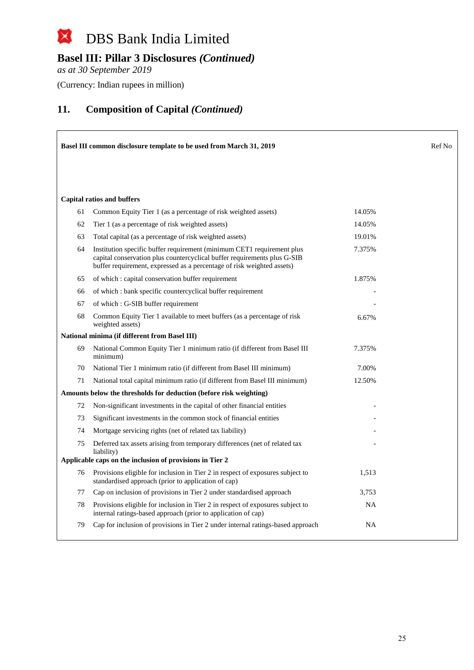# **Basel III: Pillar 3 Disclosures** *(Continued)*

*as at 30 September 2019*

(Currency: Indian rupees in million)

| Basel III common disclosure template to be used from March 31, 2019 |                                                                                                                                                                                                                              |           | Ref No |
|---------------------------------------------------------------------|------------------------------------------------------------------------------------------------------------------------------------------------------------------------------------------------------------------------------|-----------|--------|
|                                                                     |                                                                                                                                                                                                                              |           |        |
|                                                                     |                                                                                                                                                                                                                              |           |        |
|                                                                     | <b>Capital ratios and buffers</b>                                                                                                                                                                                            |           |        |
| 61                                                                  | Common Equity Tier 1 (as a percentage of risk weighted assets)                                                                                                                                                               | 14.05%    |        |
| 62                                                                  | Tier 1 (as a percentage of risk weighted assets)                                                                                                                                                                             | 14.05%    |        |
| 63                                                                  | Total capital (as a percentage of risk weighted assets)                                                                                                                                                                      | 19.01%    |        |
| 64                                                                  | Institution specific buffer requirement (minimum CET1 requirement plus<br>capital conservation plus countercyclical buffer requirements plus G-SIB<br>buffer requirement, expressed as a percentage of risk weighted assets) | 7.375%    |        |
| 65                                                                  | of which: capital conservation buffer requirement                                                                                                                                                                            | 1.875%    |        |
| 66                                                                  | of which : bank specific countercyclical buffer requirement                                                                                                                                                                  |           |        |
| 67                                                                  | of which : G-SIB buffer requirement                                                                                                                                                                                          |           |        |
| 68                                                                  | Common Equity Tier 1 available to meet buffers (as a percentage of risk<br>weighted assets)                                                                                                                                  | 6.67%     |        |
|                                                                     | National minima (if different from Basel III)                                                                                                                                                                                |           |        |
| 69                                                                  | National Common Equity Tier 1 minimum ratio (if different from Basel III<br>minimum)                                                                                                                                         | 7.375%    |        |
| 70                                                                  | National Tier 1 minimum ratio (if different from Basel III minimum)                                                                                                                                                          | 7.00%     |        |
| 71                                                                  | National total capital minimum ratio (if different from Basel III minimum)                                                                                                                                                   | 12.50%    |        |
|                                                                     | Amounts below the thresholds for deduction (before risk weighting)                                                                                                                                                           |           |        |
| 72                                                                  | Non-significant investments in the capital of other financial entities                                                                                                                                                       |           |        |
| 73                                                                  | Significant investments in the common stock of financial entities                                                                                                                                                            |           |        |
| 74                                                                  | Mortgage servicing rights (net of related tax liability)                                                                                                                                                                     |           |        |
| 75                                                                  | Deferred tax assets arising from temporary differences (net of related tax<br>liability)                                                                                                                                     |           |        |
|                                                                     | Applicable caps on the inclusion of provisions in Tier 2                                                                                                                                                                     |           |        |
| 76                                                                  | Provisions eligible for inclusion in Tier 2 in respect of exposures subject to<br>standardised approach (prior to application of cap)                                                                                        | 1,513     |        |
| 77                                                                  | Cap on inclusion of provisions in Tier 2 under standardised approach                                                                                                                                                         | 3,753     |        |
| 78                                                                  | Provisions eligible for inclusion in Tier 2 in respect of exposures subject to<br>internal ratings-based approach (prior to application of cap)                                                                              | <b>NA</b> |        |
| 79                                                                  | Cap for inclusion of provisions in Tier 2 under internal ratings-based approach                                                                                                                                              | <b>NA</b> |        |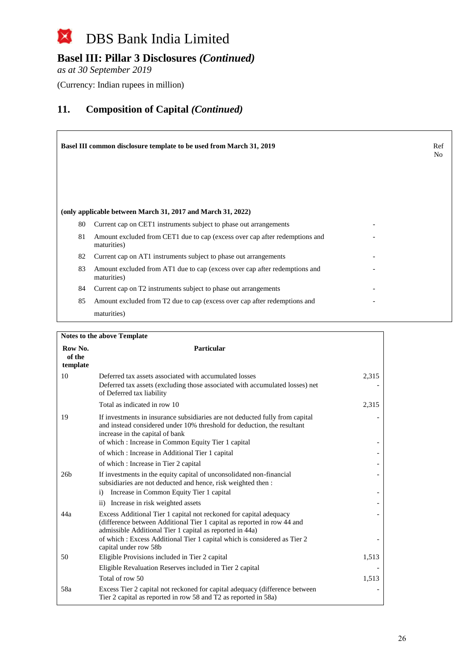# **Basel III: Pillar 3 Disclosures** *(Continued)*

*as at 30 September 2019*

(Currency: Indian rupees in million)

|    | <b>Basel III common disclosure template to be used from March 31, 2019</b>                 | Ref<br>No. |
|----|--------------------------------------------------------------------------------------------|------------|
|    | (only applicable between March 31, 2017 and March 31, 2022)                                |            |
| 80 | Current cap on CET1 instruments subject to phase out arrangements                          |            |
| 81 | Amount excluded from CET1 due to cap (excess over cap after redemptions and<br>maturities) |            |
| 82 | Current cap on AT1 instruments subject to phase out arrangements                           |            |
| 83 | Amount excluded from AT1 due to cap (excess over cap after redemptions and<br>maturities)  |            |
| 84 | Current cap on T2 instruments subject to phase out arrangements                            |            |
| 85 | Amount excluded from T2 due to cap (excess over cap after redemptions and                  |            |
|    | maturities)                                                                                |            |

|                               | <b>Notes to the above Template</b>                                                                                                                                                                        |       |
|-------------------------------|-----------------------------------------------------------------------------------------------------------------------------------------------------------------------------------------------------------|-------|
| Row No.<br>of the<br>template | Particular                                                                                                                                                                                                |       |
| 10                            | Deferred tax assets associated with accumulated losses<br>Deferred tax assets (excluding those associated with accumulated losses) net<br>of Deferred tax liability                                       | 2,315 |
|                               | Total as indicated in row 10                                                                                                                                                                              | 2,315 |
| 19                            | If investments in insurance subsidiaries are not deducted fully from capital<br>and instead considered under 10% threshold for deduction, the resultant<br>increase in the capital of bank                |       |
|                               | of which: Increase in Common Equity Tier 1 capital                                                                                                                                                        |       |
|                               | of which : Increase in Additional Tier 1 capital                                                                                                                                                          |       |
|                               | of which: Increase in Tier 2 capital                                                                                                                                                                      |       |
| 26 <sub>b</sub>               | If investments in the equity capital of unconsolidated non-financial<br>subsidiaries are not deducted and hence, risk weighted then :                                                                     |       |
|                               | Increase in Common Equity Tier 1 capital<br>$\mathbf{i}$                                                                                                                                                  |       |
|                               | ii) Increase in risk weighted assets                                                                                                                                                                      |       |
| 44a                           | Excess Additional Tier 1 capital not reckoned for capital adequacy<br>(difference between Additional Tier 1 capital as reported in row 44 and<br>admissible Additional Tier 1 capital as reported in 44a) |       |
|                               | of which : Excess Additional Tier 1 capital which is considered as Tier 2<br>capital under row 58b                                                                                                        |       |
| 50                            | Eligible Provisions included in Tier 2 capital                                                                                                                                                            | 1,513 |
|                               | Eligible Revaluation Reserves included in Tier 2 capital                                                                                                                                                  |       |
|                               | Total of row 50                                                                                                                                                                                           | 1,513 |
| 58a                           | Excess Tier 2 capital not reckoned for capital adequacy (difference between<br>Tier 2 capital as reported in row 58 and T2 as reported in 58a)                                                            |       |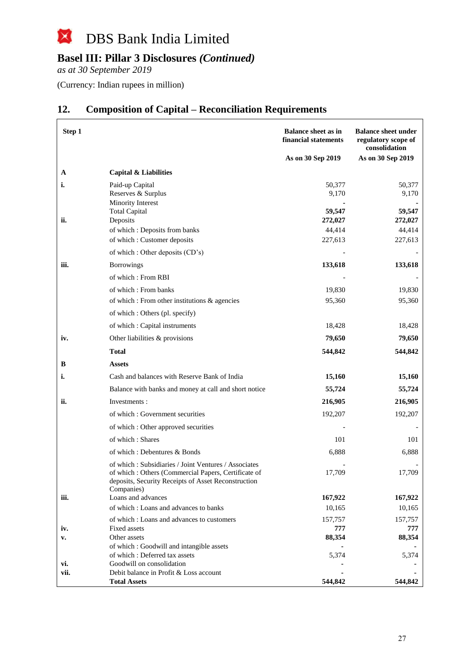#### $\boxtimes$ DBS Bank India Limited

# **Basel III: Pillar 3 Disclosures** *(Continued)*

*as at 30 September 2019*

(Currency: Indian rupees in million)

| Step 1 |                                                                                                                                                                    | <b>Balance sheet as in</b><br>financial statements<br>As on 30 Sep 2019 | <b>Balance sheet under</b><br>regulatory scope of<br>consolidation<br>As on 30 Sep 2019 |
|--------|--------------------------------------------------------------------------------------------------------------------------------------------------------------------|-------------------------------------------------------------------------|-----------------------------------------------------------------------------------------|
|        |                                                                                                                                                                    |                                                                         |                                                                                         |
| A      | Capital & Liabilities                                                                                                                                              |                                                                         |                                                                                         |
| i.     | Paid-up Capital                                                                                                                                                    | 50,377<br>9,170                                                         | 50,377<br>9,170                                                                         |
|        | Reserves & Surplus<br>Minority Interest                                                                                                                            |                                                                         |                                                                                         |
|        | <b>Total Capital</b>                                                                                                                                               | 59,547                                                                  | 59,547                                                                                  |
| ii.    | Deposits                                                                                                                                                           | 272,027                                                                 | 272,027                                                                                 |
|        | of which: Deposits from banks                                                                                                                                      | 44,414                                                                  | 44,414                                                                                  |
|        | of which: Customer deposits                                                                                                                                        | 227,613                                                                 | 227,613                                                                                 |
|        | of which : Other deposits (CD's)                                                                                                                                   |                                                                         |                                                                                         |
| iii.   | <b>Borrowings</b>                                                                                                                                                  | 133,618                                                                 | 133,618                                                                                 |
|        | of which: From RBI                                                                                                                                                 |                                                                         |                                                                                         |
|        | of which: From banks                                                                                                                                               | 19,830                                                                  | 19,830                                                                                  |
|        | of which: From other institutions & agencies                                                                                                                       | 95,360                                                                  | 95,360                                                                                  |
|        | of which : Others (pl. specify)                                                                                                                                    |                                                                         |                                                                                         |
|        | of which : Capital instruments                                                                                                                                     | 18,428                                                                  | 18,428                                                                                  |
| iv.    | Other liabilities & provisions                                                                                                                                     | 79,650                                                                  | 79,650                                                                                  |
|        | <b>Total</b>                                                                                                                                                       | 544,842                                                                 | 544,842                                                                                 |
| в      | Assets                                                                                                                                                             |                                                                         |                                                                                         |
| i.     | Cash and balances with Reserve Bank of India                                                                                                                       | 15,160                                                                  | 15,160                                                                                  |
|        | Balance with banks and money at call and short notice                                                                                                              | 55,724                                                                  | 55,724                                                                                  |
| ii.    | Investments:                                                                                                                                                       | 216,905                                                                 | 216,905                                                                                 |
|        | of which: Government securities                                                                                                                                    | 192,207                                                                 | 192,207                                                                                 |
|        |                                                                                                                                                                    |                                                                         |                                                                                         |
|        | of which: Other approved securities                                                                                                                                |                                                                         |                                                                                         |
|        | of which: Shares                                                                                                                                                   | 101                                                                     | 101                                                                                     |
|        | of which: Debentures & Bonds                                                                                                                                       | 6,888                                                                   | 6,888                                                                                   |
|        | of which: Subsidiaries / Joint Ventures / Associates<br>of which: Others (Commercial Papers, Certificate of<br>deposits, Security Receipts of Asset Reconstruction | 17,709                                                                  | 17,709                                                                                  |
| iii.   | Companies)<br>Loans and advances                                                                                                                                   | 167,922                                                                 | 167,922                                                                                 |
|        | of which: Loans and advances to banks                                                                                                                              | 10,165                                                                  | 10,165                                                                                  |
|        | of which: Loans and advances to customers                                                                                                                          | 157,757                                                                 | 157,757                                                                                 |
| iv.    | Fixed assets                                                                                                                                                       | 777                                                                     | 777                                                                                     |
| v.     | Other assets                                                                                                                                                       | 88,354                                                                  | 88,354                                                                                  |
|        | of which: Goodwill and intangible assets<br>of which: Deferred tax assets                                                                                          | 5,374                                                                   | 5,374                                                                                   |
| vi.    | Goodwill on consolidation                                                                                                                                          |                                                                         |                                                                                         |
| vii.   | Debit balance in Profit & Loss account                                                                                                                             |                                                                         |                                                                                         |
|        | <b>Total Assets</b>                                                                                                                                                | 544,842                                                                 | 544,842                                                                                 |

### **12. Composition of Capital – Reconciliation Requirements**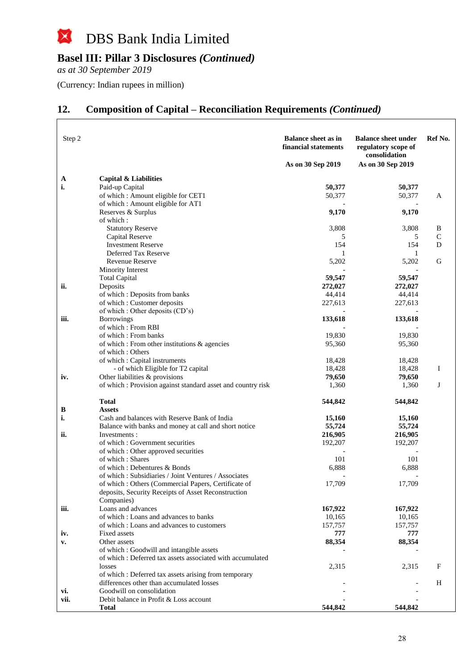#### $\boxtimes$ DBS Bank India Limited

# **Basel III: Pillar 3 Disclosures** *(Continued)*

*as at 30 September 2019*

 $\Box$ 

(Currency: Indian rupees in million)

# **12. Composition of Capital – Reconciliation Requirements** *(Continued)*

| Step 2 |                                                              | <b>Balance sheet as in</b><br>financial statements<br>As on 30 Sep 2019 | <b>Balance sheet under</b><br>regulatory scope of<br>consolidation<br>As on 30 Sep 2019 | Ref No.      |
|--------|--------------------------------------------------------------|-------------------------------------------------------------------------|-----------------------------------------------------------------------------------------|--------------|
| A      | Capital & Liabilities                                        |                                                                         |                                                                                         |              |
| i.     | Paid-up Capital                                              | 50,377                                                                  | 50,377                                                                                  |              |
|        | of which: Amount eligible for CET1                           | 50,377                                                                  | 50,377                                                                                  | A            |
|        | of which: Amount eligible for AT1                            |                                                                         |                                                                                         |              |
|        | Reserves & Surplus                                           | 9,170                                                                   | 9,170                                                                                   |              |
|        | of which:                                                    |                                                                         |                                                                                         |              |
|        | <b>Statutory Reserve</b>                                     | 3,808                                                                   | 3,808                                                                                   | B            |
|        | Capital Reserve                                              | 5                                                                       | 5                                                                                       | $\mathsf{C}$ |
|        | <b>Investment Reserve</b>                                    | 154                                                                     | 154                                                                                     | D            |
|        | Deferred Tax Reserve                                         | 1                                                                       | 1                                                                                       |              |
|        | <b>Revenue Reserve</b>                                       | 5,202                                                                   | 5,202                                                                                   | G            |
|        | Minority Interest                                            |                                                                         |                                                                                         |              |
|        | <b>Total Capital</b>                                         | 59,547                                                                  | 59,547                                                                                  |              |
| ii.    | Deposits                                                     | 272,027                                                                 | 272,027                                                                                 |              |
|        | of which: Deposits from banks<br>of which: Customer deposits | 44,414<br>227,613                                                       | 44,414                                                                                  |              |
|        | of which : Other deposits (CD's)                             |                                                                         | 227,613                                                                                 |              |
| iii.   | <b>Borrowings</b>                                            | 133,618                                                                 | 133,618                                                                                 |              |
|        | of which: From RBI                                           |                                                                         |                                                                                         |              |
|        | of which : From banks                                        | 19,830                                                                  | 19,830                                                                                  |              |
|        | of which : From other institutions & agencies                | 95,360                                                                  | 95,360                                                                                  |              |
|        | of which: Others                                             |                                                                         |                                                                                         |              |
|        | of which : Capital instruments                               | 18,428                                                                  | 18,428                                                                                  |              |
|        | - of which Eligible for T2 capital                           | 18,428                                                                  | 18,428                                                                                  | Ι.           |
| iv.    | Other liabilities & provisions                               | 79,650                                                                  | 79,650                                                                                  |              |
|        | of which : Provision against standard asset and country risk | 1,360                                                                   | 1,360                                                                                   | J            |
|        | Total                                                        | 544,842                                                                 | 544,842                                                                                 |              |
| B      | <b>Assets</b>                                                |                                                                         |                                                                                         |              |
| i.     | Cash and balances with Reserve Bank of India                 | 15,160                                                                  | 15,160                                                                                  |              |
|        | Balance with banks and money at call and short notice        | 55,724                                                                  | 55,724                                                                                  |              |
| ii.    | Investments:<br>of which : Government securities             | 216,905<br>192,207                                                      | 216,905<br>192,207                                                                      |              |
|        | of which : Other approved securities                         |                                                                         |                                                                                         |              |
|        | of which: Shares                                             | 101                                                                     | 101                                                                                     |              |
|        | of which: Debentures & Bonds                                 | 6,888                                                                   | 6,888                                                                                   |              |
|        | of which: Subsidiaries / Joint Ventures / Associates         |                                                                         |                                                                                         |              |
|        | of which: Others (Commercial Papers, Certificate of          | 17,709                                                                  | 17,709                                                                                  |              |
|        | deposits, Security Receipts of Asset Reconstruction          |                                                                         |                                                                                         |              |
|        | Companies)                                                   |                                                                         |                                                                                         |              |
| iii.   | Loans and advances                                           | 167,922                                                                 | 167,922                                                                                 |              |
|        | of which: Loans and advances to banks                        | 10,165                                                                  | 10,165                                                                                  |              |
|        | of which: Loans and advances to customers                    | 157,757                                                                 | 157,757                                                                                 |              |
| iv.    | Fixed assets                                                 | 777                                                                     | 777                                                                                     |              |
| v.     | Other assets                                                 | 88,354                                                                  | 88,354                                                                                  |              |
|        | of which: Goodwill and intangible assets                     |                                                                         |                                                                                         |              |
|        | of which: Deferred tax assets associated with accumulated    |                                                                         |                                                                                         |              |
|        | losses                                                       | 2,315                                                                   | 2,315                                                                                   | $\mathbf F$  |
|        | of which : Deferred tax assets arising from temporary        |                                                                         |                                                                                         |              |
|        | differences other than accumulated losses                    |                                                                         |                                                                                         | H            |
| vi.    | Goodwill on consolidation                                    |                                                                         |                                                                                         |              |
| vii.   | Debit balance in Profit & Loss account                       | 544,842                                                                 | 544,842                                                                                 |              |
|        | Total                                                        |                                                                         |                                                                                         |              |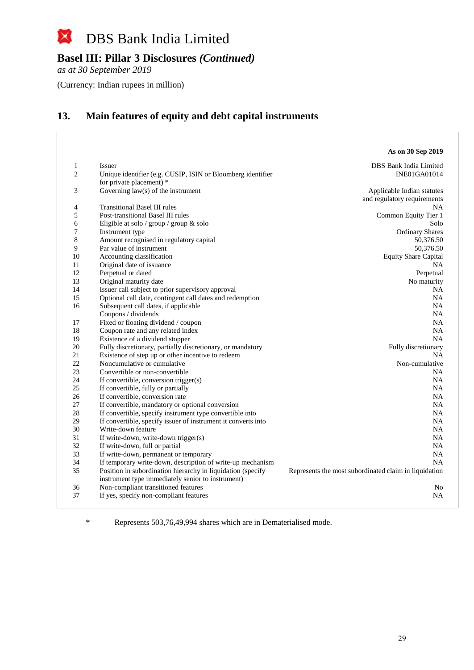

*as at 30 September 2019*

(Currency: Indian rupees in million)

# **13. Main features of equity and debt capital instruments**

|                |                                                                                                                  | As on 30 Sep 2019                                     |
|----------------|------------------------------------------------------------------------------------------------------------------|-------------------------------------------------------|
| 1              | <b>Issuer</b>                                                                                                    | DBS Bank India Limited                                |
| $\overline{2}$ | Unique identifier (e.g. CUSIP, ISIN or Bloomberg identifier                                                      | INE01GA01014                                          |
|                | for private placement) *                                                                                         |                                                       |
| 3              | Governing $law(s)$ of the instrument                                                                             | Applicable Indian statutes                            |
|                |                                                                                                                  | and regulatory requirements                           |
| 4              | <b>Transitional Basel III rules</b>                                                                              | NA                                                    |
| 5              | Post-transitional Basel III rules                                                                                | Common Equity Tier 1                                  |
| 6              | Eligible at solo / group / group & solo                                                                          | Solo                                                  |
| 7              | Instrument type                                                                                                  | <b>Ordinary Shares</b>                                |
| 8              | Amount recognised in regulatory capital                                                                          | 50,376.50                                             |
| 9              | Par value of instrument                                                                                          | 50,376.50                                             |
| 10             | Accounting classification                                                                                        | <b>Equity Share Capital</b>                           |
| 11             | Original date of issuance                                                                                        | <b>NA</b>                                             |
| 12             | Perpetual or dated                                                                                               | Perpetual                                             |
| 13             | Original maturity date                                                                                           | No maturity                                           |
| 14             | Issuer call subject to prior supervisory approval                                                                | NA                                                    |
| 15             | Optional call date, contingent call dates and redemption                                                         | <b>NA</b>                                             |
| 16             | Subsequent call dates, if applicable                                                                             | NA.                                                   |
|                | Coupons / dividends                                                                                              | NA.                                                   |
| 17             | Fixed or floating dividend / coupon                                                                              | NA.                                                   |
| 18             | Coupon rate and any related index                                                                                | <b>NA</b>                                             |
| 19             | Existence of a dividend stopper                                                                                  | <b>NA</b>                                             |
| 20             | Fully discretionary, partially discretionary, or mandatory                                                       | Fully discretionary                                   |
| 21             | Existence of step up or other incentive to redeem                                                                | NA                                                    |
| 22             | Noncumulative or cumulative                                                                                      | Non-cumulative                                        |
| 23             | Convertible or non-convertible                                                                                   | NA                                                    |
| 24             | If convertible, conversion trigger(s)                                                                            | <b>NA</b>                                             |
| 25             | If convertible, fully or partially                                                                               | <b>NA</b>                                             |
| 26             | If convertible, conversion rate                                                                                  | NA                                                    |
| 27             | If convertible, mandatory or optional conversion                                                                 | NA.                                                   |
| 28             | If convertible, specify instrument type convertible into                                                         | <b>NA</b>                                             |
| 29             | If convertible, specify issuer of instrument it converts into                                                    | <b>NA</b>                                             |
| 30             | Write-down feature                                                                                               | <b>NA</b>                                             |
| 31             | If write-down, write-down trigger(s)                                                                             | NA                                                    |
| 32             | If write-down, full or partial                                                                                   | <b>NA</b>                                             |
| 33             | If write-down, permanent or temporary                                                                            | <b>NA</b>                                             |
| 34             | If temporary write-down, description of write-up mechanism                                                       | <b>NA</b>                                             |
| 35             | Position in subordination hierarchy in liquidation (specify<br>instrument type immediately senior to instrument) | Represents the most subordinated claim in liquidation |
| 36             | Non-compliant transitioned features                                                                              | No                                                    |
| 37             | If yes, specify non-compliant features                                                                           | NA                                                    |
|                |                                                                                                                  |                                                       |

\* Represents 503,76,49,994 shares which are in Dematerialised mode.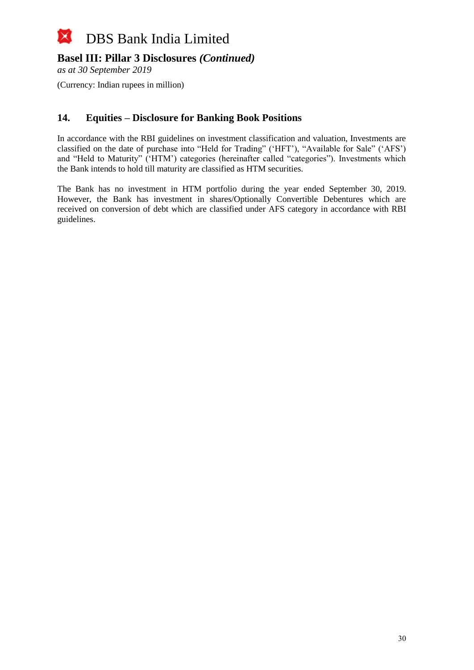

*as at 30 September 2019*

(Currency: Indian rupees in million)

### **14. Equities – Disclosure for Banking Book Positions**

In accordance with the RBI guidelines on investment classification and valuation, Investments are classified on the date of purchase into "Held for Trading" ('HFT'), "Available for Sale" ('AFS') and "Held to Maturity" ('HTM') categories (hereinafter called "categories"). Investments which the Bank intends to hold till maturity are classified as HTM securities.

The Bank has no investment in HTM portfolio during the year ended September 30, 2019. However, the Bank has investment in shares/Optionally Convertible Debentures which are received on conversion of debt which are classified under AFS category in accordance with RBI guidelines.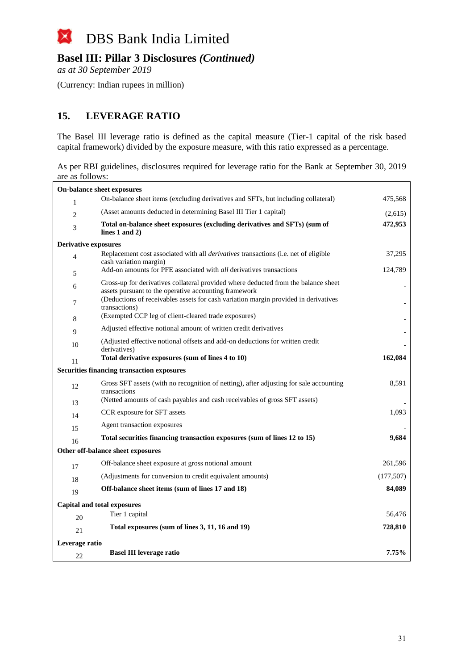

*as at 30 September 2019*

(Currency: Indian rupees in million)

## **15. LEVERAGE RATIO**

The Basel III leverage ratio is defined as the capital measure (Tier-1 capital of the risk based capital framework) divided by the exposure measure, with this ratio expressed as a percentage.

As per RBI guidelines, disclosures required for leverage ratio for the Bank at September 30, 2019 are as follows:

| On-balance sheet exposures        |                                                                                                                                             |           |  |
|-----------------------------------|---------------------------------------------------------------------------------------------------------------------------------------------|-----------|--|
| $\mathbf{1}$                      | On-balance sheet items (excluding derivatives and SFTs, but including collateral)                                                           | 475,568   |  |
| $\overline{2}$                    | (Asset amounts deducted in determining Basel III Tier 1 capital)                                                                            | (2,615)   |  |
| 3                                 | Total on-balance sheet exposures (excluding derivatives and SFTs) (sum of<br>lines $1$ and $2)$                                             | 472,953   |  |
| <b>Derivative exposures</b>       |                                                                                                                                             |           |  |
| $\overline{4}$                    | Replacement cost associated with all <i>derivatives</i> transactions (i.e. net of eligible<br>cash variation margin)                        | 37,295    |  |
| 5                                 | Add-on amounts for PFE associated with <i>all</i> derivatives transactions                                                                  | 124,789   |  |
| 6                                 | Gross-up for derivatives collateral provided where deducted from the balance sheet<br>assets pursuant to the operative accounting framework |           |  |
| 7                                 | (Deductions of receivables assets for cash variation margin provided in derivatives<br>transactions)                                        |           |  |
| 8                                 | (Exempted CCP leg of client-cleared trade exposures)                                                                                        |           |  |
| 9                                 | Adjusted effective notional amount of written credit derivatives                                                                            |           |  |
| 10                                | (Adjusted effective notional offsets and add-on deductions for written credit<br>derivatives)                                               |           |  |
| 11                                | Total derivative exposures (sum of lines 4 to 10)                                                                                           | 162,084   |  |
|                                   | <b>Securities financing transaction exposures</b>                                                                                           |           |  |
| 12                                | Gross SFT assets (with no recognition of netting), after adjusting for sale accounting<br>transactions                                      | 8,591     |  |
| 13                                | (Netted amounts of cash payables and cash receivables of gross SFT assets)                                                                  |           |  |
| 14                                | CCR exposure for SFT assets                                                                                                                 | 1,093     |  |
| 15                                | Agent transaction exposures                                                                                                                 |           |  |
| 16                                | Total securities financing transaction exposures (sum of lines 12 to 15)                                                                    | 9,684     |  |
| Other off-balance sheet exposures |                                                                                                                                             |           |  |
| 17                                | Off-balance sheet exposure at gross notional amount                                                                                         | 261,596   |  |
| 18                                | (Adjustments for conversion to credit equivalent amounts)                                                                                   | (177,507) |  |
| 19                                | Off-balance sheet items (sum of lines 17 and 18)                                                                                            | 84,089    |  |
|                                   | <b>Capital and total exposures</b>                                                                                                          |           |  |
| 20                                | Tier 1 capital                                                                                                                              | 56,476    |  |
| 21                                | Total exposures (sum of lines 3, 11, 16 and 19)                                                                                             | 728,810   |  |
| Leverage ratio                    |                                                                                                                                             |           |  |
| 22                                | <b>Basel III leverage ratio</b>                                                                                                             | 7.75%     |  |